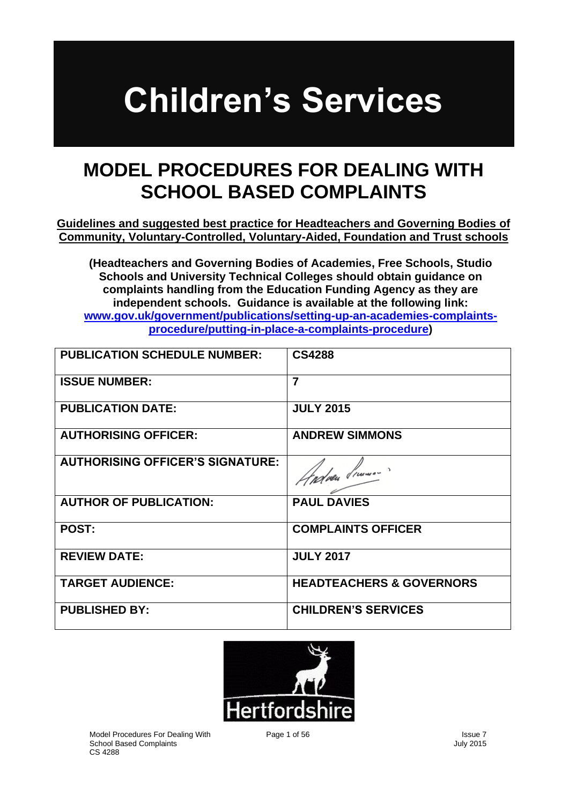# **Children's Services**

# **MODEL PROCEDURES FOR DEALING WITH SCHOOL BASED COMPLAINTS**

**Guidelines and suggested best practice for Headteachers and Governing Bodies of Community, Voluntary-Controlled, Voluntary-Aided, Foundation and Trust schools**

**(Headteachers and Governing Bodies of Academies, Free Schools, Studio Schools and University Technical Colleges should obtain guidance on complaints handling from the Education Funding Agency as they are independent schools. Guidance is available at the following link: [www.gov.uk/government/publications/setting-up-an-academies-complaints](http://www.gov.uk/government/publications/setting-up-an-academies-complaints-procedure/putting-in-place-a-complaints-procedure)[procedure/putting-in-place-a-complaints-procedure\)](http://www.gov.uk/government/publications/setting-up-an-academies-complaints-procedure/putting-in-place-a-complaints-procedure)**

| <b>PUBLICATION SCHEDULE NUMBER:</b>     | <b>CS4288</b>                       |
|-----------------------------------------|-------------------------------------|
| <b>ISSUE NUMBER:</b>                    | $\overline{7}$                      |
| <b>PUBLICATION DATE:</b>                | <b>JULY 2015</b>                    |
| <b>AUTHORISING OFFICER:</b>             | <b>ANDREW SIMMONS</b>               |
| <b>AUTHORISING OFFICER'S SIGNATURE:</b> | Endeen Simmon?                      |
| <b>AUTHOR OF PUBLICATION:</b>           | <b>PAUL DAVIES</b>                  |
| <b>POST:</b>                            | <b>COMPLAINTS OFFICER</b>           |
| <b>REVIEW DATE:</b>                     | <b>JULY 2017</b>                    |
| <b>TARGET AUDIENCE:</b>                 | <b>HEADTEACHERS &amp; GOVERNORS</b> |
| <b>PUBLISHED BY:</b>                    | <b>CHILDREN'S SERVICES</b>          |

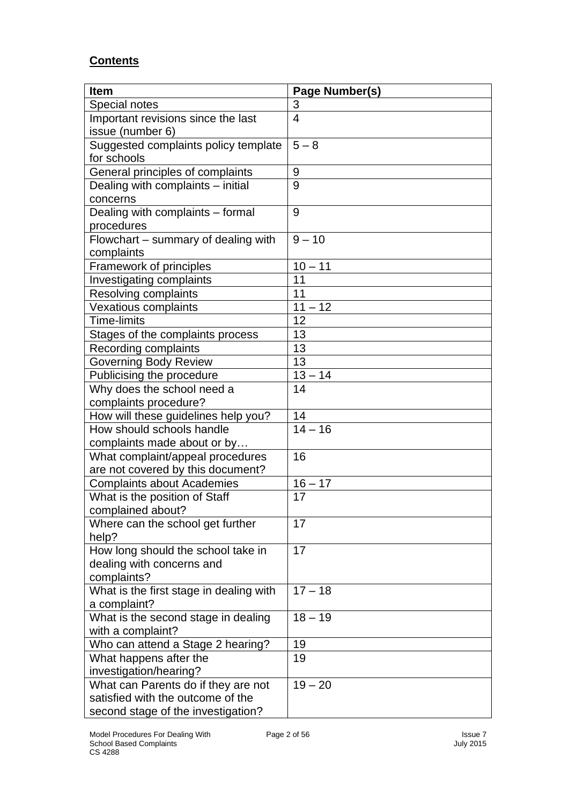### **Contents**

| <b>Item</b>                                             | Page Number(s) |
|---------------------------------------------------------|----------------|
| Special notes                                           | 3              |
| Important revisions since the last                      | $\overline{4}$ |
| issue (number 6)                                        |                |
| Suggested complaints policy template                    | $5 - 8$        |
| for schools                                             |                |
| General principles of complaints                        | 9              |
| Dealing with complaints – initial                       | 9              |
| concerns                                                |                |
| Dealing with complaints - formal                        | 9              |
| procedures                                              |                |
| Flowchart – summary of dealing with                     | $9 - 10$       |
| complaints                                              |                |
| Framework of principles                                 | $10 - 11$      |
| Investigating complaints                                | 11             |
| Resolving complaints                                    | 11             |
| <b>Vexatious complaints</b>                             | $11 - 12$      |
| Time-limits                                             | 12             |
| Stages of the complaints process                        | 13<br>13       |
| Recording complaints                                    | 13             |
| <b>Governing Body Review</b>                            | $13 - 14$      |
| Publicising the procedure<br>Why does the school need a | 14             |
| complaints procedure?                                   |                |
| How will these guidelines help you?                     | 14             |
| How should schools handle                               | $14 - 16$      |
| complaints made about or by                             |                |
| What complaint/appeal procedures                        | 16             |
| are not covered by this document?                       |                |
| <b>Complaints about Academies</b>                       | $16 - 17$      |
| What is the position of Staff                           | 17             |
| complained about?                                       |                |
| Where can the school get further                        | 17             |
| help?                                                   |                |
| How long should the school take in                      | 17             |
| dealing with concerns and                               |                |
| complaints?                                             |                |
| What is the first stage in dealing with                 | $17 - 18$      |
| a complaint?                                            |                |
| What is the second stage in dealing                     | $18 - 19$      |
| with a complaint?                                       |                |
| Who can attend a Stage 2 hearing?                       | 19             |
| What happens after the                                  | 19             |
| investigation/hearing?                                  |                |
| What can Parents do if they are not                     | $19 - 20$      |
| satisfied with the outcome of the                       |                |
| second stage of the investigation?                      |                |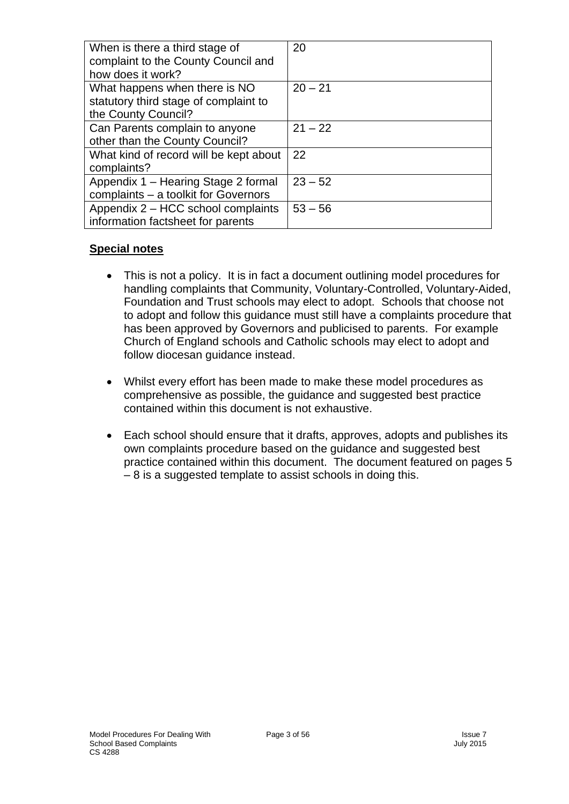| When is there a third stage of<br>complaint to the County Council and                         | 20        |
|-----------------------------------------------------------------------------------------------|-----------|
| how does it work?                                                                             |           |
| What happens when there is NO<br>statutory third stage of complaint to<br>the County Council? | $20 - 21$ |
| Can Parents complain to anyone<br>other than the County Council?                              | $21 - 22$ |
| What kind of record will be kept about<br>complaints?                                         | 22        |
| Appendix 1 - Hearing Stage 2 formal<br>complaints - a toolkit for Governors                   | $23 - 52$ |
| Appendix 2 – HCC school complaints<br>information factsheet for parents                       | $53 - 56$ |

#### **Special notes**

- This is not a policy. It is in fact a document outlining model procedures for handling complaints that Community, Voluntary-Controlled, Voluntary-Aided, Foundation and Trust schools may elect to adopt. Schools that choose not to adopt and follow this guidance must still have a complaints procedure that has been approved by Governors and publicised to parents. For example Church of England schools and Catholic schools may elect to adopt and follow diocesan guidance instead.
- Whilst every effort has been made to make these model procedures as comprehensive as possible, the guidance and suggested best practice contained within this document is not exhaustive.
- Each school should ensure that it drafts, approves, adopts and publishes its own complaints procedure based on the guidance and suggested best practice contained within this document. The document featured on pages 5 – 8 is a suggested template to assist schools in doing this.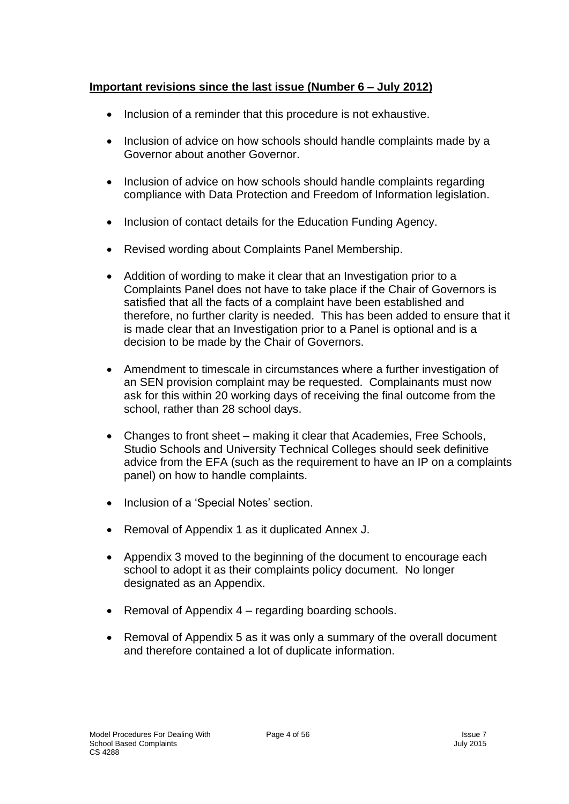#### **Important revisions since the last issue (Number 6 – July 2012)**

- Inclusion of a reminder that this procedure is not exhaustive.
- Inclusion of advice on how schools should handle complaints made by a Governor about another Governor.
- Inclusion of advice on how schools should handle complaints regarding compliance with Data Protection and Freedom of Information legislation.
- Inclusion of contact details for the Education Funding Agency.
- Revised wording about Complaints Panel Membership.
- Addition of wording to make it clear that an Investigation prior to a Complaints Panel does not have to take place if the Chair of Governors is satisfied that all the facts of a complaint have been established and therefore, no further clarity is needed. This has been added to ensure that it is made clear that an Investigation prior to a Panel is optional and is a decision to be made by the Chair of Governors.
- Amendment to timescale in circumstances where a further investigation of an SEN provision complaint may be requested. Complainants must now ask for this within 20 working days of receiving the final outcome from the school, rather than 28 school days.
- Changes to front sheet making it clear that Academies, Free Schools, Studio Schools and University Technical Colleges should seek definitive advice from the EFA (such as the requirement to have an IP on a complaints panel) on how to handle complaints.
- Inclusion of a 'Special Notes' section.
- Removal of Appendix 1 as it duplicated Annex J.
- Appendix 3 moved to the beginning of the document to encourage each school to adopt it as their complaints policy document. No longer designated as an Appendix.
- Removal of Appendix 4 regarding boarding schools.
- Removal of Appendix 5 as it was only a summary of the overall document and therefore contained a lot of duplicate information.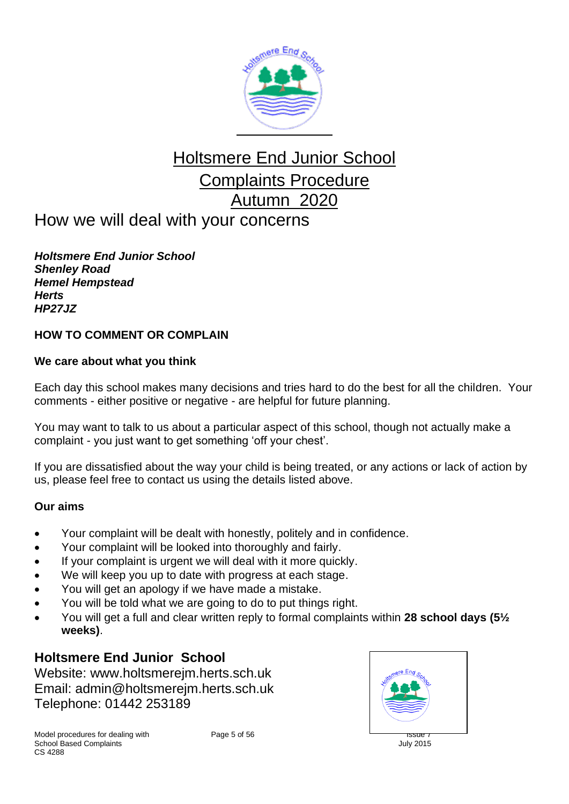

# Holtsmere End Junior School Complaints Procedure Autumn 2020 How we will deal with your concerns

*Holtsmere End Junior School Shenley Road Hemel Hempstead Herts HP27JZ*

#### **HOW TO COMMENT OR COMPLAIN**

#### **We care about what you think**

Each day this school makes many decisions and tries hard to do the best for all the children. Your comments - either positive or negative - are helpful for future planning.

You may want to talk to us about a particular aspect of this school, though not actually make a complaint - you just want to get something 'off your chest'.

If you are dissatisfied about the way your child is being treated, or any actions or lack of action by us, please feel free to contact us using the details listed above.

#### **Our aims**

- Your complaint will be dealt with honestly, politely and in confidence.
- Your complaint will be looked into thoroughly and fairly.
- If your complaint is urgent we will deal with it more quickly.
- We will keep you up to date with progress at each stage.
- You will get an apology if we have made a mistake.
- You will be told what we are going to do to put things right.
- You will get a full and clear written reply to formal complaints within **28 school days (5½ weeks)**.

## **Holtsmere End Junior School**

Website: www.holtsmerejm.herts.sch.uk Email: admin@holtsmerejm.herts.sch.uk Telephone: 01442 253189



Model procedures for dealing with Page 5 of 56 **Intervention Contract Contract Contract Contract Contract Contract Page 5 of 56** School Based Complaints **School Based Complaints** July 2015  $CS$   $A288$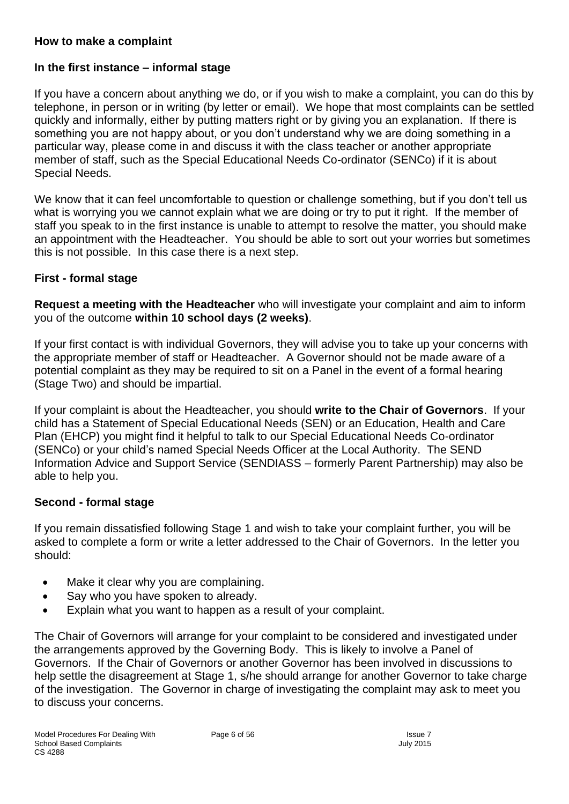#### **How to make a complaint**

#### **In the first instance – informal stage**

If you have a concern about anything we do, or if you wish to make a complaint, you can do this by telephone, in person or in writing (by letter or email). We hope that most complaints can be settled quickly and informally, either by putting matters right or by giving you an explanation. If there is something you are not happy about, or you don't understand why we are doing something in a particular way, please come in and discuss it with the class teacher or another appropriate member of staff, such as the Special Educational Needs Co-ordinator (SENCo) if it is about Special Needs.

We know that it can feel uncomfortable to question or challenge something, but if you don't tell us what is worrying you we cannot explain what we are doing or try to put it right. If the member of staff you speak to in the first instance is unable to attempt to resolve the matter, you should make an appointment with the Headteacher. You should be able to sort out your worries but sometimes this is not possible. In this case there is a next step.

#### **First - formal stage**

**Request a meeting with the Headteacher** who will investigate your complaint and aim to inform you of the outcome **within 10 school days (2 weeks)**.

If your first contact is with individual Governors, they will advise you to take up your concerns with the appropriate member of staff or Headteacher. A Governor should not be made aware of a potential complaint as they may be required to sit on a Panel in the event of a formal hearing (Stage Two) and should be impartial.

If your complaint is about the Headteacher, you should **write to the Chair of Governors**. If your child has a Statement of Special Educational Needs (SEN) or an Education, Health and Care Plan (EHCP) you might find it helpful to talk to our Special Educational Needs Co-ordinator (SENCo) or your child's named Special Needs Officer at the Local Authority. The SEND Information Advice and Support Service (SENDIASS – formerly Parent Partnership) may also be able to help you.

#### **Second - formal stage**

If you remain dissatisfied following Stage 1 and wish to take your complaint further, you will be asked to complete a form or write a letter addressed to the Chair of Governors. In the letter you should:

- Make it clear why you are complaining.
- Say who you have spoken to already.
- Explain what you want to happen as a result of your complaint.

The Chair of Governors will arrange for your complaint to be considered and investigated under the arrangements approved by the Governing Body. This is likely to involve a Panel of Governors. If the Chair of Governors or another Governor has been involved in discussions to help settle the disagreement at Stage 1, s/he should arrange for another Governor to take charge of the investigation. The Governor in charge of investigating the complaint may ask to meet you to discuss your concerns.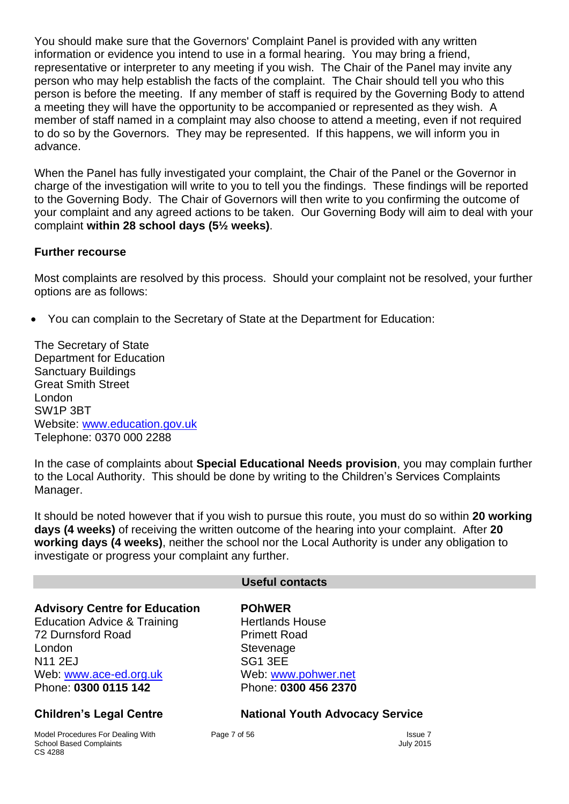You should make sure that the Governors' Complaint Panel is provided with any written information or evidence you intend to use in a formal hearing. You may bring a friend, representative or interpreter to any meeting if you wish. The Chair of the Panel may invite any person who may help establish the facts of the complaint. The Chair should tell you who this person is before the meeting. If any member of staff is required by the Governing Body to attend a meeting they will have the opportunity to be accompanied or represented as they wish. A member of staff named in a complaint may also choose to attend a meeting, even if not required to do so by the Governors. They may be represented. If this happens, we will inform you in advance.

When the Panel has fully investigated your complaint, the Chair of the Panel or the Governor in charge of the investigation will write to you to tell you the findings. These findings will be reported to the Governing Body. The Chair of Governors will then write to you confirming the outcome of your complaint and any agreed actions to be taken. Our Governing Body will aim to deal with your complaint **within 28 school days (5½ weeks)**.

#### **Further recourse**

Most complaints are resolved by this process. Should your complaint not be resolved, your further options are as follows:

• You can complain to the Secretary of State at the Department for Education:

The Secretary of State Department for Education Sanctuary Buildings Great Smith Street London SW1P 3BT Website: [www.education.gov.uk](http://www.education.gov.uk/) Telephone: 0370 000 2288

In the case of complaints about **Special Educational Needs provision**, you may complain further to the Local Authority. This should be done by writing to the Children's Services Complaints Manager.

It should be noted however that if you wish to pursue this route, you must do so within **20 working days (4 weeks)** of receiving the written outcome of the hearing into your complaint. After **20 working days (4 weeks)**, neither the school nor the Local Authority is under any obligation to investigate or progress your complaint any further.

#### **Useful contacts**

**Advisory Centre for Education POhWER** Education Advice & Training Hertlands House 72 Durnsford Road Primett Road London **Stevenage** National SG1 3EE

Phone: **0300 0115 142** Phone: **0300 456 2370**

Model Procedures For Dealing With Page 7 of 56 Issue 7 School Based Complaints **Complaints** July 2015 CS 4288

Web: [www.ace-ed.org.uk](http://www.ace-ed.org.uk/) Web: [www.pohwer.net](http://www.pohwer.net/)

#### **Children's Legal Centre National Youth Advocacy Service**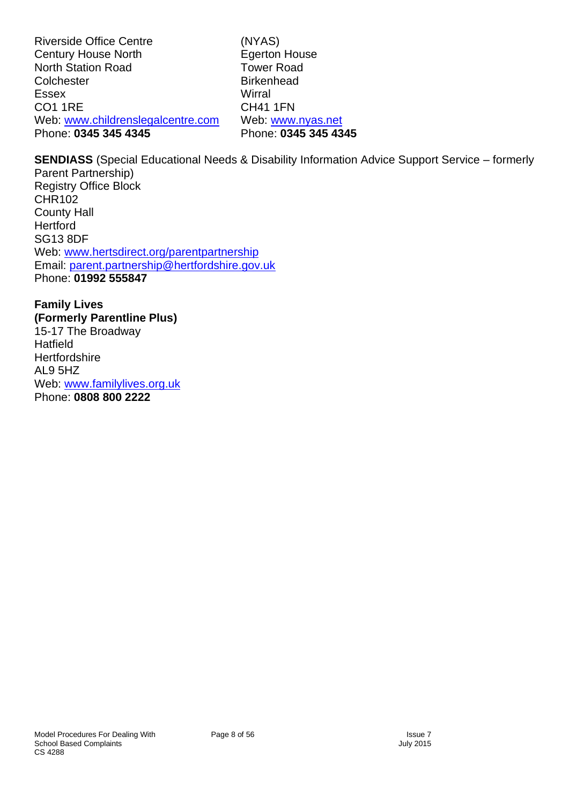Riverside Office Centre (NYAS)<br>
Century House North (Egerton House Century House North North Station Road<br>
Colchester Colchester Birkenhead Colchester Essex Wirral CO1 1RE CH41 1FN Web: [www.childrenslegalcentre.com](http://www.childrenslegalcentre.com/) Web: [www.nyas.net](http://www.nyas.net/)<br>Phone: 0345 345 4345 Phone: 0345 345 4345 Phone: **0345 345 4345** Phone: **0345 345 4345**

**SENDIASS** (Special Educational Needs & Disability Information Advice Support Service – formerly Parent Partnership) Registry Office Block CHR102 County Hall **Hertford** SG13 8DF Web: [www.hertsdirect.org/parentpartnership](http://www.hertsdirect.org/parentpartnership) Email: [parent.partnership@hertfordshire.gov.uk](mailto:parent.partnership@hertfordshire.gov.uk) Phone: **01992 555847**

**Family Lives (Formerly Parentline Plus)** 15-17 The Broadway **Hatfield Hertfordshire** AL9 5HZ Web: [www.familylives.org.uk](http://www.familylives.org.uk/) Phone: **0808 800 2222**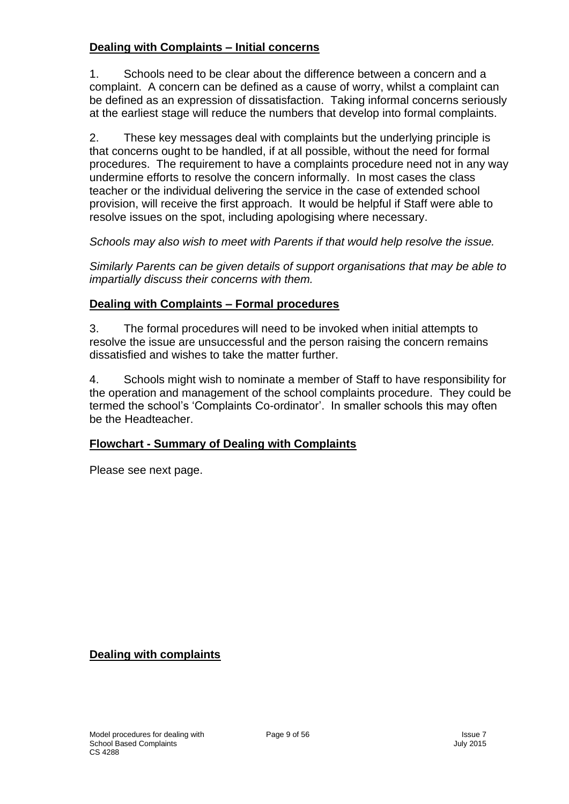#### **Dealing with Complaints – Initial concerns**

1. Schools need to be clear about the difference between a concern and a complaint. A concern can be defined as a cause of worry, whilst a complaint can be defined as an expression of dissatisfaction. Taking informal concerns seriously at the earliest stage will reduce the numbers that develop into formal complaints.

2. These key messages deal with complaints but the underlying principle is that concerns ought to be handled, if at all possible, without the need for formal procedures. The requirement to have a complaints procedure need not in any way undermine efforts to resolve the concern informally. In most cases the class teacher or the individual delivering the service in the case of extended school provision, will receive the first approach. It would be helpful if Staff were able to resolve issues on the spot, including apologising where necessary.

*Schools may also wish to meet with Parents if that would help resolve the issue.*

*Similarly Parents can be given details of support organisations that may be able to impartially discuss their concerns with them.*

#### **Dealing with Complaints – Formal procedures**

3. The formal procedures will need to be invoked when initial attempts to resolve the issue are unsuccessful and the person raising the concern remains dissatisfied and wishes to take the matter further.

4. Schools might wish to nominate a member of Staff to have responsibility for the operation and management of the school complaints procedure. They could be termed the school's 'Complaints Co-ordinator'. In smaller schools this may often be the Headteacher.

#### **Flowchart - Summary of Dealing with Complaints**

Please see next page.

**Dealing with complaints**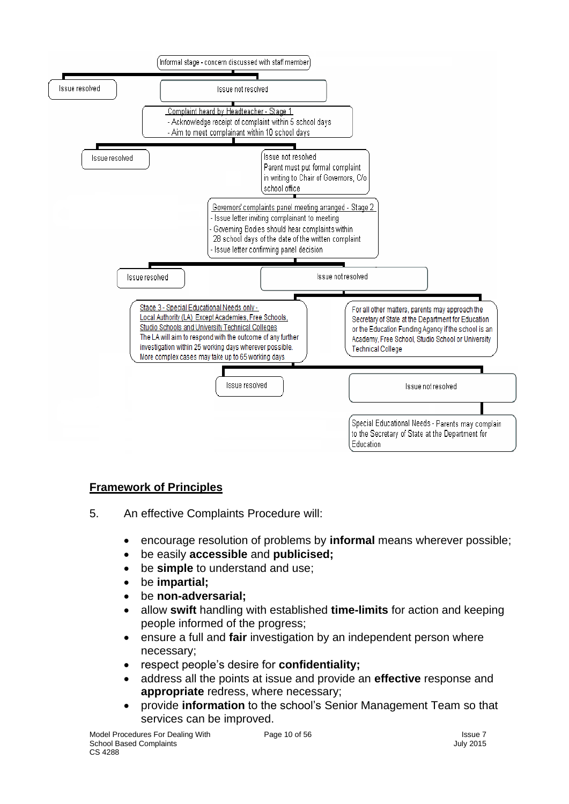

#### **Framework of Principles**

- 5. An effective Complaints Procedure will:
	- encourage resolution of problems by **informal** means wherever possible;
	- be easily **accessible** and **publicised;**
	- be **simple** to understand and use;
	- be **impartial;**
	- be **non-adversarial;**
	- allow **swift** handling with established **time-limits** for action and keeping people informed of the progress;
	- ensure a full and **fair** investigation by an independent person where necessary;
	- respect people's desire for **confidentiality;**
	- address all the points at issue and provide an **effective** response and **appropriate** redress, where necessary;
	- provide **information** to the school's Senior Management Team so that services can be improved.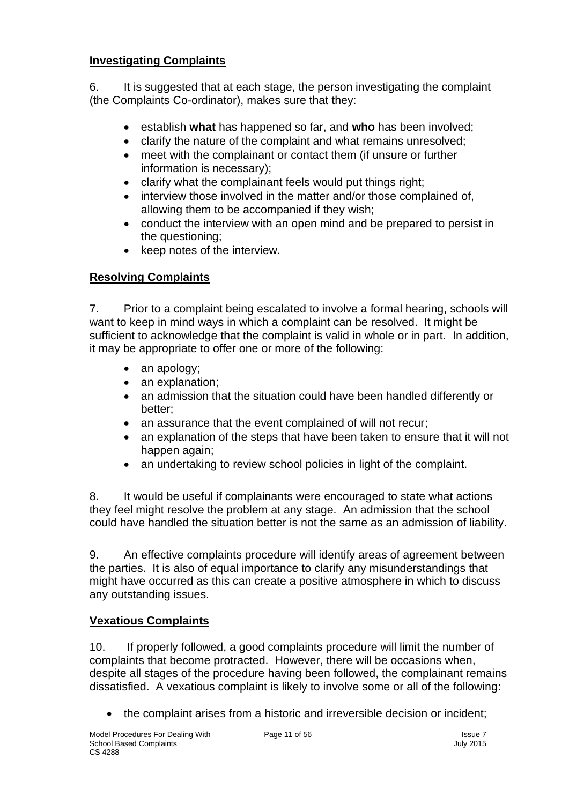#### **Investigating Complaints**

6. It is suggested that at each stage, the person investigating the complaint (the Complaints Co-ordinator), makes sure that they:

- establish **what** has happened so far, and **who** has been involved;
- clarify the nature of the complaint and what remains unresolved;
- meet with the complainant or contact them (if unsure or further information is necessary);
- clarify what the complainant feels would put things right;
- interview those involved in the matter and/or those complained of, allowing them to be accompanied if they wish;
- conduct the interview with an open mind and be prepared to persist in the questioning;
- keep notes of the interview.

### **Resolving Complaints**

7. Prior to a complaint being escalated to involve a formal hearing, schools will want to keep in mind ways in which a complaint can be resolved. It might be sufficient to acknowledge that the complaint is valid in whole or in part. In addition, it may be appropriate to offer one or more of the following:

- an apology;
- an explanation:
- an admission that the situation could have been handled differently or better;
- an assurance that the event complained of will not recur;
- an explanation of the steps that have been taken to ensure that it will not happen again;
- an undertaking to review school policies in light of the complaint.

8. It would be useful if complainants were encouraged to state what actions they feel might resolve the problem at any stage. An admission that the school could have handled the situation better is not the same as an admission of liability.

9. An effective complaints procedure will identify areas of agreement between the parties. It is also of equal importance to clarify any misunderstandings that might have occurred as this can create a positive atmosphere in which to discuss any outstanding issues.

#### **Vexatious Complaints**

10. If properly followed, a good complaints procedure will limit the number of complaints that become protracted. However, there will be occasions when, despite all stages of the procedure having been followed, the complainant remains dissatisfied. A vexatious complaint is likely to involve some or all of the following:

• the complaint arises from a historic and irreversible decision or incident;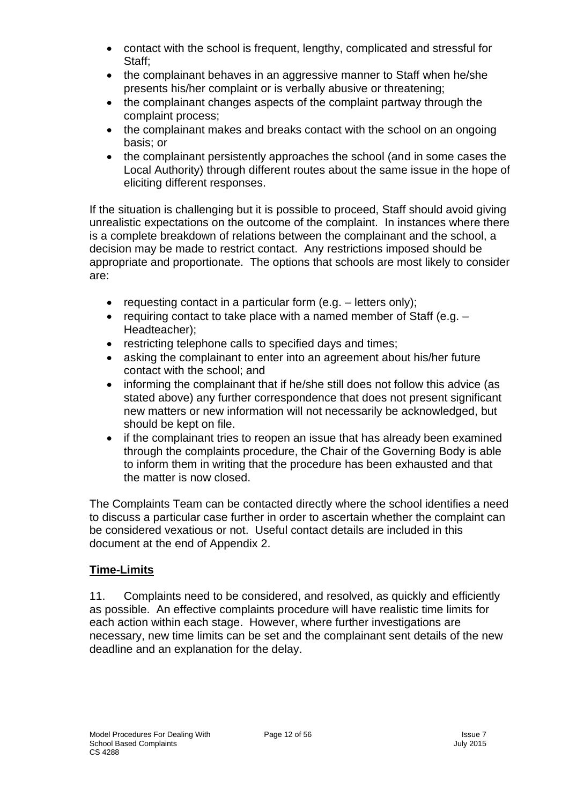- contact with the school is frequent, lengthy, complicated and stressful for Staff;
- the complainant behaves in an aggressive manner to Staff when he/she presents his/her complaint or is verbally abusive or threatening;
- the complainant changes aspects of the complaint partway through the complaint process;
- the complainant makes and breaks contact with the school on an ongoing basis; or
- the complainant persistently approaches the school (and in some cases the Local Authority) through different routes about the same issue in the hope of eliciting different responses.

If the situation is challenging but it is possible to proceed, Staff should avoid giving unrealistic expectations on the outcome of the complaint. In instances where there is a complete breakdown of relations between the complainant and the school, a decision may be made to restrict contact. Any restrictions imposed should be appropriate and proportionate. The options that schools are most likely to consider are:

- requesting contact in a particular form (e.g. letters only);
- requiring contact to take place with a named member of Staff (e.g. Headteacher);
- restricting telephone calls to specified days and times;
- asking the complainant to enter into an agreement about his/her future contact with the school; and
- informing the complainant that if he/she still does not follow this advice (as stated above) any further correspondence that does not present significant new matters or new information will not necessarily be acknowledged, but should be kept on file.
- if the complainant tries to reopen an issue that has already been examined through the complaints procedure, the Chair of the Governing Body is able to inform them in writing that the procedure has been exhausted and that the matter is now closed.

The Complaints Team can be contacted directly where the school identifies a need to discuss a particular case further in order to ascertain whether the complaint can be considered vexatious or not. Useful contact details are included in this document at the end of Appendix 2.

#### **Time-Limits**

11. Complaints need to be considered, and resolved, as quickly and efficiently as possible. An effective complaints procedure will have realistic time limits for each action within each stage. However, where further investigations are necessary, new time limits can be set and the complainant sent details of the new deadline and an explanation for the delay.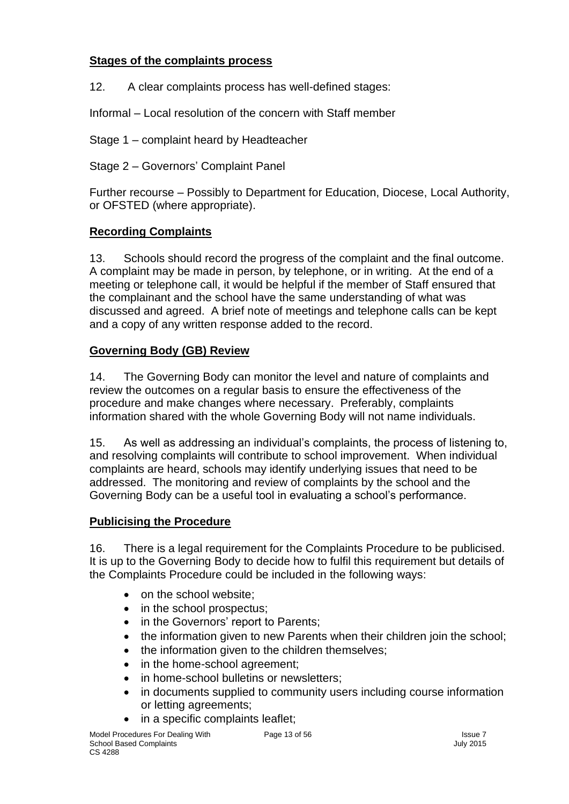#### **Stages of the complaints process**

12. A clear complaints process has well-defined stages:

Informal – Local resolution of the concern with Staff member

Stage 1 – complaint heard by Headteacher

Stage 2 – Governors' Complaint Panel

Further recourse – Possibly to Department for Education, Diocese, Local Authority, or OFSTED (where appropriate).

#### **Recording Complaints**

13. Schools should record the progress of the complaint and the final outcome. A complaint may be made in person, by telephone, or in writing. At the end of a meeting or telephone call, it would be helpful if the member of Staff ensured that the complainant and the school have the same understanding of what was discussed and agreed. A brief note of meetings and telephone calls can be kept and a copy of any written response added to the record.

#### **Governing Body (GB) Review**

14. The Governing Body can monitor the level and nature of complaints and review the outcomes on a regular basis to ensure the effectiveness of the procedure and make changes where necessary. Preferably, complaints information shared with the whole Governing Body will not name individuals.

15. As well as addressing an individual's complaints, the process of listening to, and resolving complaints will contribute to school improvement. When individual complaints are heard, schools may identify underlying issues that need to be addressed. The monitoring and review of complaints by the school and the Governing Body can be a useful tool in evaluating a school's performance.

#### **Publicising the Procedure**

16. There is a legal requirement for the Complaints Procedure to be publicised. It is up to the Governing Body to decide how to fulfil this requirement but details of the Complaints Procedure could be included in the following ways:

- on the school website;
- in the school prospectus;
- in the Governors' report to Parents;
- the information given to new Parents when their children join the school;
- the information given to the children themselves;
- in the home-school agreement:
- in home-school bulletins or newsletters;
- in documents supplied to community users including course information or letting agreements;
- in a specific complaints leaflet;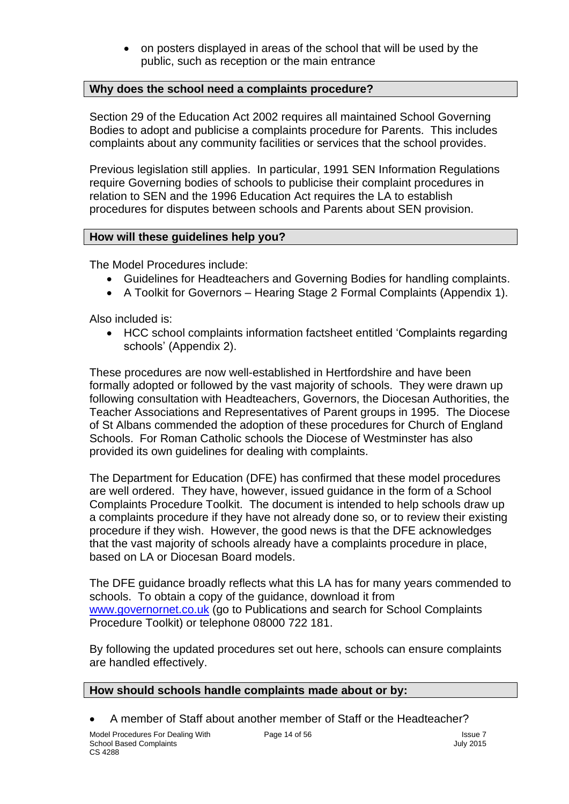• on posters displayed in areas of the school that will be used by the public, such as reception or the main entrance

#### **Why does the school need a complaints procedure?**

Section 29 of the Education Act 2002 requires all maintained School Governing Bodies to adopt and publicise a complaints procedure for Parents. This includes complaints about any community facilities or services that the school provides.

Previous legislation still applies. In particular, 1991 SEN Information Regulations require Governing bodies of schools to publicise their complaint procedures in relation to SEN and the 1996 Education Act requires the LA to establish procedures for disputes between schools and Parents about SEN provision.

#### **How will these guidelines help you?**

The Model Procedures include:

- Guidelines for Headteachers and Governing Bodies for handling complaints.
- A Toolkit for Governors Hearing Stage 2 Formal Complaints (Appendix 1).

Also included is:

• HCC school complaints information factsheet entitled 'Complaints regarding schools' (Appendix 2).

These procedures are now well-established in Hertfordshire and have been formally adopted or followed by the vast majority of schools. They were drawn up following consultation with Headteachers, Governors, the Diocesan Authorities, the Teacher Associations and Representatives of Parent groups in 1995. The Diocese of St Albans commended the adoption of these procedures for Church of England Schools. For Roman Catholic schools the Diocese of Westminster has also provided its own guidelines for dealing with complaints.

The Department for Education (DFE) has confirmed that these model procedures are well ordered. They have, however, issued guidance in the form of a School Complaints Procedure Toolkit. The document is intended to help schools draw up a complaints procedure if they have not already done so, or to review their existing procedure if they wish. However, the good news is that the DFE acknowledges that the vast majority of schools already have a complaints procedure in place, based on LA or Diocesan Board models.

The DFE guidance broadly reflects what this LA has for many years commended to schools. To obtain a copy of the guidance, download it from [www.governornet.co.uk](http://www.governornet.co.uk/) (go to Publications and search for School Complaints Procedure Toolkit) or telephone 08000 722 181.

By following the updated procedures set out here, schools can ensure complaints are handled effectively.

#### **How should schools handle complaints made about or by:**

• A member of Staff about another member of Staff or the Headteacher?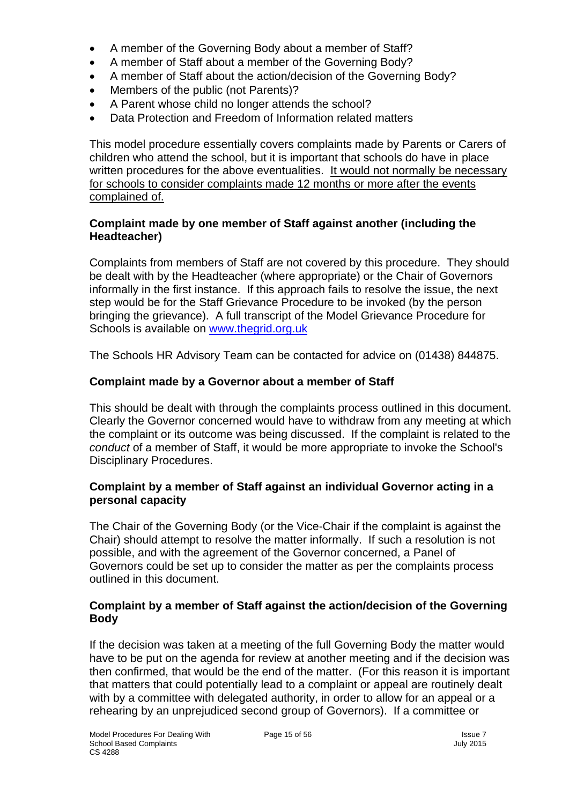- A member of the Governing Body about a member of Staff?
- A member of Staff about a member of the Governing Body?
- A member of Staff about the action/decision of the Governing Body?
- Members of the public (not Parents)?
- A Parent whose child no longer attends the school?
- Data Protection and Freedom of Information related matters

This model procedure essentially covers complaints made by Parents or Carers of children who attend the school, but it is important that schools do have in place written procedures for the above eventualities. It would not normally be necessary for schools to consider complaints made 12 months or more after the events complained of.

#### **Complaint made by one member of Staff against another (including the Headteacher)**

Complaints from members of Staff are not covered by this procedure. They should be dealt with by the Headteacher (where appropriate) or the Chair of Governors informally in the first instance. If this approach fails to resolve the issue, the next step would be for the Staff Grievance Procedure to be invoked (by the person bringing the grievance). A full transcript of the Model Grievance Procedure for Schools is available on [www.thegrid.org.uk](http://www.thegrid.org.uk/)

The Schools HR Advisory Team can be contacted for advice on (01438) 844875.

#### **Complaint made by a Governor about a member of Staff**

This should be dealt with through the complaints process outlined in this document. Clearly the Governor concerned would have to withdraw from any meeting at which the complaint or its outcome was being discussed. If the complaint is related to the *conduct* of a member of Staff, it would be more appropriate to invoke the School's Disciplinary Procedures.

#### **Complaint by a member of Staff against an individual Governor acting in a personal capacity**

The Chair of the Governing Body (or the Vice-Chair if the complaint is against the Chair) should attempt to resolve the matter informally. If such a resolution is not possible, and with the agreement of the Governor concerned, a Panel of Governors could be set up to consider the matter as per the complaints process outlined in this document.

#### **Complaint by a member of Staff against the action/decision of the Governing Body**

If the decision was taken at a meeting of the full Governing Body the matter would have to be put on the agenda for review at another meeting and if the decision was then confirmed, that would be the end of the matter. (For this reason it is important that matters that could potentially lead to a complaint or appeal are routinely dealt with by a committee with delegated authority, in order to allow for an appeal or a rehearing by an unprejudiced second group of Governors). If a committee or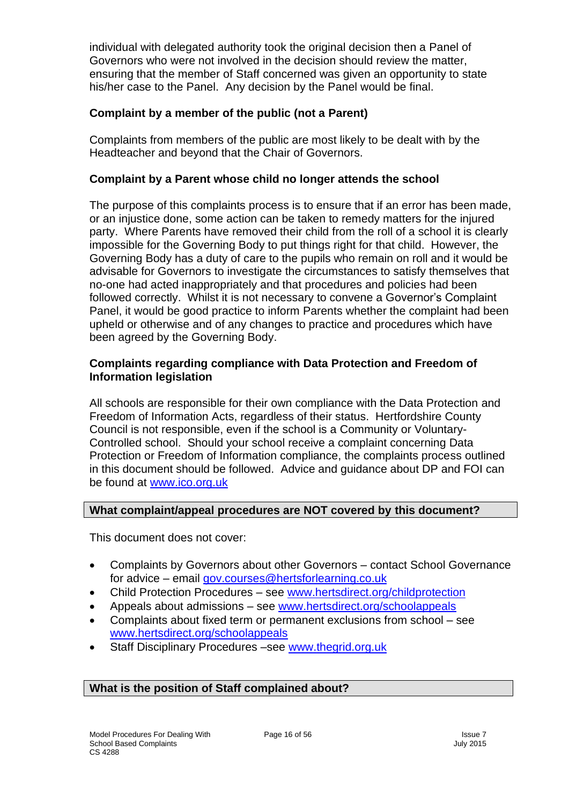individual with delegated authority took the original decision then a Panel of Governors who were not involved in the decision should review the matter, ensuring that the member of Staff concerned was given an opportunity to state his/her case to the Panel. Any decision by the Panel would be final.

#### **Complaint by a member of the public (not a Parent)**

Complaints from members of the public are most likely to be dealt with by the Headteacher and beyond that the Chair of Governors.

#### **Complaint by a Parent whose child no longer attends the school**

The purpose of this complaints process is to ensure that if an error has been made, or an injustice done, some action can be taken to remedy matters for the injured party. Where Parents have removed their child from the roll of a school it is clearly impossible for the Governing Body to put things right for that child. However, the Governing Body has a duty of care to the pupils who remain on roll and it would be advisable for Governors to investigate the circumstances to satisfy themselves that no-one had acted inappropriately and that procedures and policies had been followed correctly. Whilst it is not necessary to convene a Governor's Complaint Panel, it would be good practice to inform Parents whether the complaint had been upheld or otherwise and of any changes to practice and procedures which have been agreed by the Governing Body.

#### **Complaints regarding compliance with Data Protection and Freedom of Information legislation**

All schools are responsible for their own compliance with the Data Protection and Freedom of Information Acts, regardless of their status. Hertfordshire County Council is not responsible, even if the school is a Community or Voluntary-Controlled school. Should your school receive a complaint concerning Data Protection or Freedom of Information compliance, the complaints process outlined in this document should be followed. Advice and guidance about DP and FOI can be found at [www.ico.org.uk](http://www.ico.org.uk/)

#### **What complaint/appeal procedures are NOT covered by this document?**

This document does not cover:

- Complaints by Governors about other Governors contact School Governance for advice – email [gov.courses@hertsforlearning.co.uk](mailto:gov.courses@hertsforlearning.co.uk)
- Child Protection Procedures see [www.hertsdirect.org/childprotection](http://www.hertsdirect.org/childprotection)
- Appeals about admissions see [www.hertsdirect.org/schoolappeals](http://www.hertsdirect.org/schoolappeals)
- Complaints about fixed term or permanent exclusions from school see [www.hertsdirect.org/schoolappeals](http://www.hertsdirect.org/schoolappeals)
- Staff Disciplinary Procedures –see [www.thegrid.org.uk](http://www.thegrid.org.uk/)

#### **What is the position of Staff complained about?**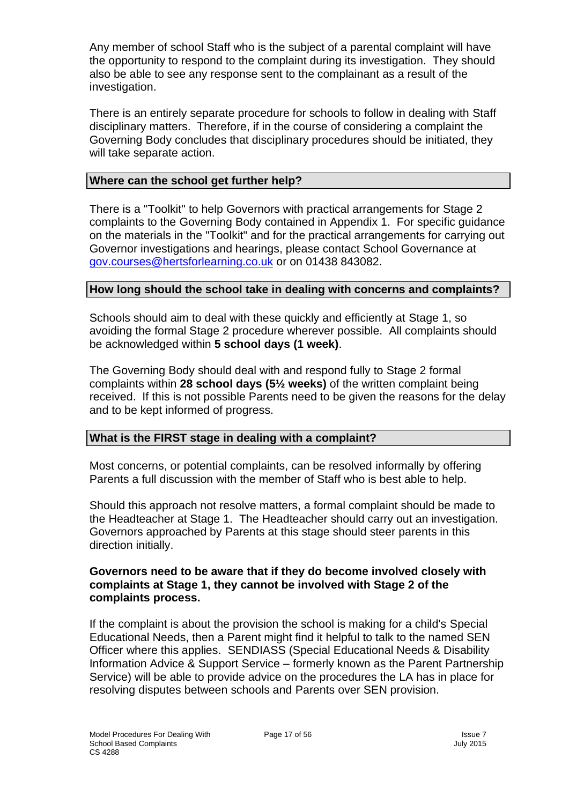Any member of school Staff who is the subject of a parental complaint will have the opportunity to respond to the complaint during its investigation. They should also be able to see any response sent to the complainant as a result of the investigation.

There is an entirely separate procedure for schools to follow in dealing with Staff disciplinary matters. Therefore, if in the course of considering a complaint the Governing Body concludes that disciplinary procedures should be initiated, they will take separate action.

#### **Where can the school get further help?**

There is a "Toolkit" to help Governors with practical arrangements for Stage 2 complaints to the Governing Body contained in Appendix 1. For specific guidance on the materials in the "Toolkit" and for the practical arrangements for carrying out Governor investigations and hearings, please contact School Governance at [gov.courses@hertsforlearning.co.uk](mailto:gov.courses@hertsforlearning.co.uk) or on 01438 843082.

#### **How long should the school take in dealing with concerns and complaints?**

Schools should aim to deal with these quickly and efficiently at Stage 1, so avoiding the formal Stage 2 procedure wherever possible. All complaints should be acknowledged within **5 school days (1 week)**.

The Governing Body should deal with and respond fully to Stage 2 formal complaints within **28 school days (5½ weeks)** of the written complaint being received. If this is not possible Parents need to be given the reasons for the delay and to be kept informed of progress.

#### **What is the FIRST stage in dealing with a complaint?**

Most concerns, or potential complaints, can be resolved informally by offering Parents a full discussion with the member of Staff who is best able to help.

Should this approach not resolve matters, a formal complaint should be made to the Headteacher at Stage 1. The Headteacher should carry out an investigation. Governors approached by Parents at this stage should steer parents in this direction initially.

#### **Governors need to be aware that if they do become involved closely with complaints at Stage 1, they cannot be involved with Stage 2 of the complaints process.**

If the complaint is about the provision the school is making for a child's Special Educational Needs, then a Parent might find it helpful to talk to the named SEN Officer where this applies. SENDIASS (Special Educational Needs & Disability Information Advice & Support Service – formerly known as the Parent Partnership Service) will be able to provide advice on the procedures the LA has in place for resolving disputes between schools and Parents over SEN provision.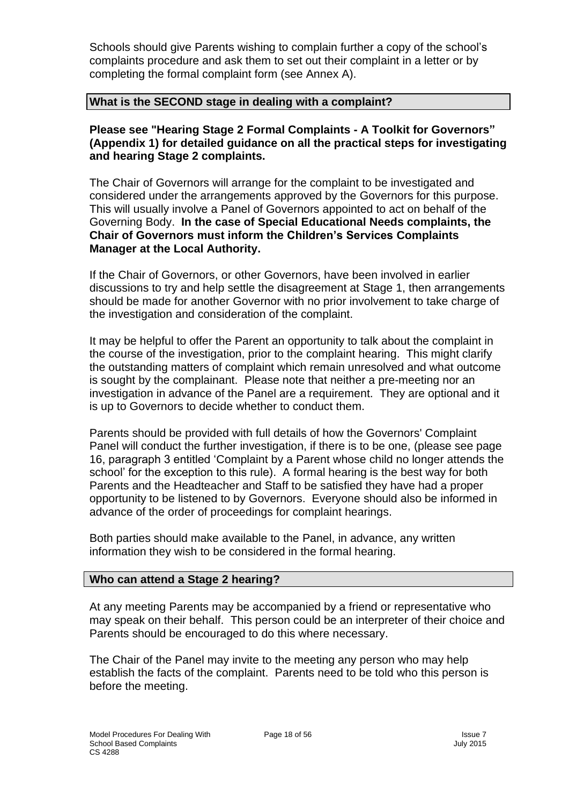Schools should give Parents wishing to complain further a copy of the school's complaints procedure and ask them to set out their complaint in a letter or by completing the formal complaint form (see Annex A).

#### **What is the SECOND stage in dealing with a complaint?**

**Please see "Hearing Stage 2 Formal Complaints - A Toolkit for Governors" (Appendix 1) for detailed guidance on all the practical steps for investigating and hearing Stage 2 complaints.**

The Chair of Governors will arrange for the complaint to be investigated and considered under the arrangements approved by the Governors for this purpose. This will usually involve a Panel of Governors appointed to act on behalf of the Governing Body. **In the case of Special Educational Needs complaints, the Chair of Governors must inform the Children's Services Complaints Manager at the Local Authority.**

If the Chair of Governors, or other Governors, have been involved in earlier discussions to try and help settle the disagreement at Stage 1, then arrangements should be made for another Governor with no prior involvement to take charge of the investigation and consideration of the complaint.

It may be helpful to offer the Parent an opportunity to talk about the complaint in the course of the investigation, prior to the complaint hearing. This might clarify the outstanding matters of complaint which remain unresolved and what outcome is sought by the complainant. Please note that neither a pre-meeting nor an investigation in advance of the Panel are a requirement. They are optional and it is up to Governors to decide whether to conduct them.

Parents should be provided with full details of how the Governors' Complaint Panel will conduct the further investigation, if there is to be one, (please see page 16, paragraph 3 entitled 'Complaint by a Parent whose child no longer attends the school' for the exception to this rule). A formal hearing is the best way for both Parents and the Headteacher and Staff to be satisfied they have had a proper opportunity to be listened to by Governors. Everyone should also be informed in advance of the order of proceedings for complaint hearings.

Both parties should make available to the Panel, in advance, any written information they wish to be considered in the formal hearing.

#### **Who can attend a Stage 2 hearing?**

At any meeting Parents may be accompanied by a friend or representative who may speak on their behalf. This person could be an interpreter of their choice and Parents should be encouraged to do this where necessary.

The Chair of the Panel may invite to the meeting any person who may help establish the facts of the complaint. Parents need to be told who this person is before the meeting.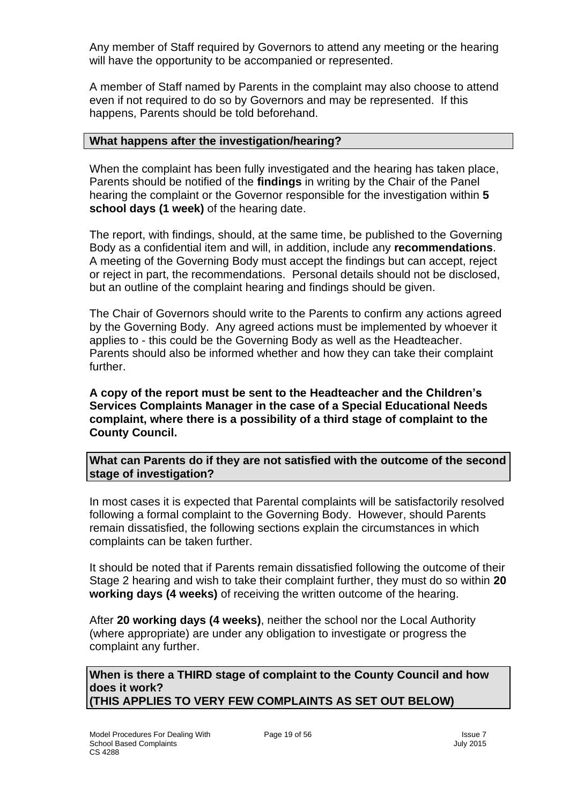Any member of Staff required by Governors to attend any meeting or the hearing will have the opportunity to be accompanied or represented.

A member of Staff named by Parents in the complaint may also choose to attend even if not required to do so by Governors and may be represented. If this happens, Parents should be told beforehand.

#### **What happens after the investigation/hearing?**

When the complaint has been fully investigated and the hearing has taken place, Parents should be notified of the **findings** in writing by the Chair of the Panel hearing the complaint or the Governor responsible for the investigation within **5 school days (1 week)** of the hearing date.

The report, with findings, should, at the same time, be published to the Governing Body as a confidential item and will, in addition, include any **recommendations**. A meeting of the Governing Body must accept the findings but can accept, reject or reject in part, the recommendations. Personal details should not be disclosed, but an outline of the complaint hearing and findings should be given.

The Chair of Governors should write to the Parents to confirm any actions agreed by the Governing Body. Any agreed actions must be implemented by whoever it applies to - this could be the Governing Body as well as the Headteacher. Parents should also be informed whether and how they can take their complaint further.

**A copy of the report must be sent to the Headteacher and the Children's Services Complaints Manager in the case of a Special Educational Needs complaint, where there is a possibility of a third stage of complaint to the County Council.** 

**What can Parents do if they are not satisfied with the outcome of the second stage of investigation?**

In most cases it is expected that Parental complaints will be satisfactorily resolved following a formal complaint to the Governing Body. However, should Parents remain dissatisfied, the following sections explain the circumstances in which complaints can be taken further.

It should be noted that if Parents remain dissatisfied following the outcome of their Stage 2 hearing and wish to take their complaint further, they must do so within **20 working days (4 weeks)** of receiving the written outcome of the hearing.

After **20 working days (4 weeks)**, neither the school nor the Local Authority (where appropriate) are under any obligation to investigate or progress the complaint any further.

**When is there a THIRD stage of complaint to the County Council and how does it work? (THIS APPLIES TO VERY FEW COMPLAINTS AS SET OUT BELOW)**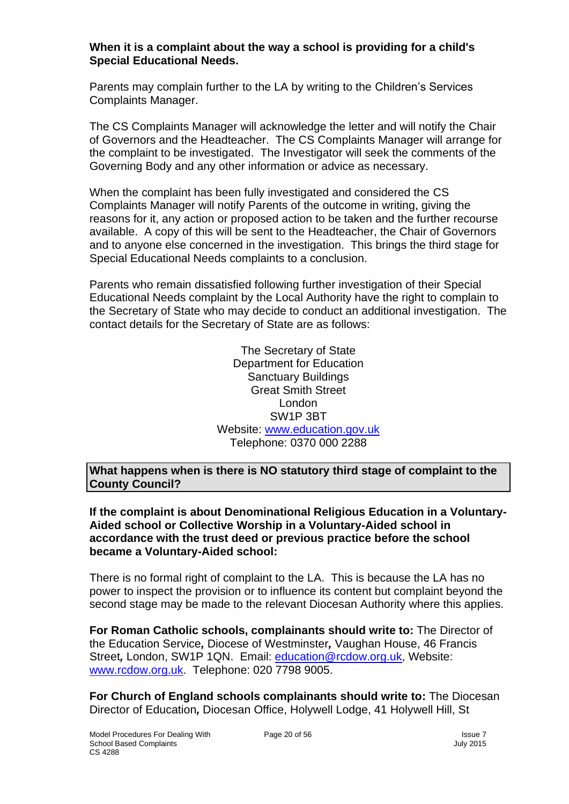#### **When it is a complaint about the way a school is providing for a child's Special Educational Needs.**

Parents may complain further to the LA by writing to the Children's Services Complaints Manager.

The CS Complaints Manager will acknowledge the letter and will notify the Chair of Governors and the Headteacher. The CS Complaints Manager will arrange for the complaint to be investigated. The Investigator will seek the comments of the Governing Body and any other information or advice as necessary.

When the complaint has been fully investigated and considered the CS Complaints Manager will notify Parents of the outcome in writing, giving the reasons for it, any action or proposed action to be taken and the further recourse available. A copy of this will be sent to the Headteacher, the Chair of Governors and to anyone else concerned in the investigation. This brings the third stage for Special Educational Needs complaints to a conclusion.

Parents who remain dissatisfied following further investigation of their Special Educational Needs complaint by the Local Authority have the right to complain to the Secretary of State who may decide to conduct an additional investigation. The contact details for the Secretary of State are as follows:

> The Secretary of State Department for Education Sanctuary Buildings Great Smith Street London SW1P 3BT Website: [www.education.gov.uk](http://www.education.gov.uk/) Telephone: 0370 000 2288

**What happens when is there is NO statutory third stage of complaint to the County Council?**

**If the complaint is about Denominational Religious Education in a Voluntary-Aided school or Collective Worship in a Voluntary-Aided school in accordance with the trust deed or previous practice before the school became a Voluntary-Aided school:**

There is no formal right of complaint to the LA. This is because the LA has no power to inspect the provision or to influence its content but complaint beyond the second stage may be made to the relevant Diocesan Authority where this applies.

**For Roman Catholic schools, complainants should write to:** The Director of the Education Service*,* Diocese of Westminster*,* Vaughan House, 46 Francis Street*,* London, SW1P 1QN. Email: [education@rcdow.org.uk,](mailto:education@rcdow.org.uk) Website: [www.rcdow.org.uk.](http://www.rcdow.org.uk/) Telephone: 020 7798 9005.

**For Church of England schools complainants should write to:** The Diocesan Director of Education*,* Diocesan Office, Holywell Lodge, 41 Holywell Hill, St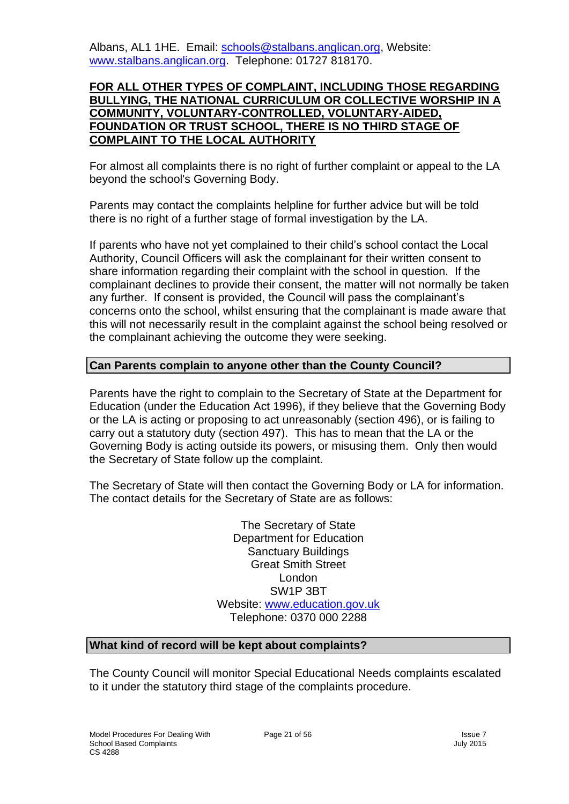Albans, AL1 1HE. Email: [schools@stalbans.anglican.org,](mailto:schools@stalbans.anglican.org) Website: [www.stalbans.anglican.org.](http://www.stalbans.anglican.org/) Telephone: 01727 818170.

#### **FOR ALL OTHER TYPES OF COMPLAINT, INCLUDING THOSE REGARDING BULLYING, THE NATIONAL CURRICULUM OR COLLECTIVE WORSHIP IN A COMMUNITY, VOLUNTARY-CONTROLLED, VOLUNTARY-AIDED, FOUNDATION OR TRUST SCHOOL, THERE IS NO THIRD STAGE OF COMPLAINT TO THE LOCAL AUTHORITY**

For almost all complaints there is no right of further complaint or appeal to the LA beyond the school's Governing Body.

Parents may contact the complaints helpline for further advice but will be told there is no right of a further stage of formal investigation by the LA.

If parents who have not yet complained to their child's school contact the Local Authority, Council Officers will ask the complainant for their written consent to share information regarding their complaint with the school in question. If the complainant declines to provide their consent, the matter will not normally be taken any further. If consent is provided, the Council will pass the complainant's concerns onto the school, whilst ensuring that the complainant is made aware that this will not necessarily result in the complaint against the school being resolved or the complainant achieving the outcome they were seeking.

#### **Can Parents complain to anyone other than the County Council?**

Parents have the right to complain to the Secretary of State at the Department for Education (under the Education Act 1996), if they believe that the Governing Body or the LA is acting or proposing to act unreasonably (section 496), or is failing to carry out a statutory duty (section 497). This has to mean that the LA or the Governing Body is acting outside its powers, or misusing them. Only then would the Secretary of State follow up the complaint.

The Secretary of State will then contact the Governing Body or LA for information. The contact details for the Secretary of State are as follows:

> The Secretary of State Department for Education Sanctuary Buildings Great Smith Street London SW1P 3BT Website: [www.education.gov.uk](http://www.education.gov.uk/) Telephone: 0370 000 2288

#### **What kind of record will be kept about complaints?**

The County Council will monitor Special Educational Needs complaints escalated to it under the statutory third stage of the complaints procedure.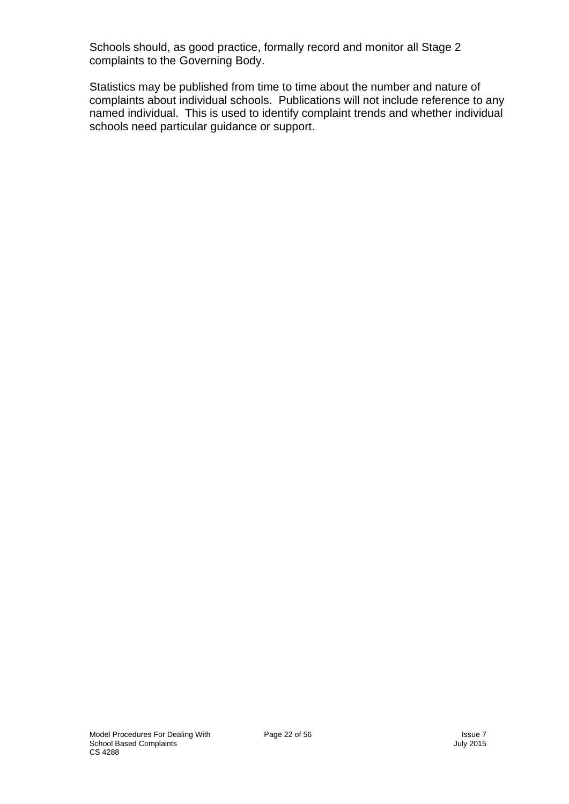Schools should, as good practice, formally record and monitor all Stage 2 complaints to the Governing Body.

Statistics may be published from time to time about the number and nature of complaints about individual schools. Publications will not include reference to any named individual. This is used to identify complaint trends and whether individual schools need particular guidance or support.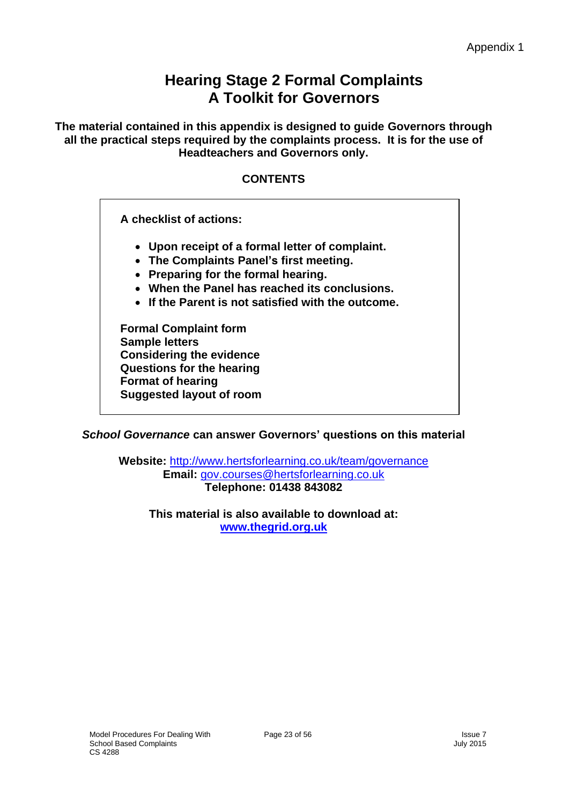# **Hearing Stage 2 Formal Complaints A Toolkit for Governors**

**The material contained in this appendix is designed to guide Governors through all the practical steps required by the complaints process. It is for the use of Headteachers and Governors only.**

#### **CONTENTS**

**A checklist of actions:**

- **Upon receipt of a formal letter of complaint.**
- **The Complaints Panel's first meeting.**
- **Preparing for the formal hearing.**
- **When the Panel has reached its conclusions.**
- **If the Parent is not satisfied with the outcome.**

**Formal Complaint form Sample letters Considering the evidence Questions for the hearing Format of hearing Suggested layout of room** 

*School Governance* **can answer Governors' questions on this material**

**Website:** <http://www.hertsforlearning.co.uk/team/governance> **Email:** [gov.courses@hertsforlearning.co.uk](mailto:gov.courses@hertsforlearning.co.uk) **Telephone: 01438 843082**

**This material is also available to download at: [www.thegrid.org.uk](http://www.thegrid.org.uk/)**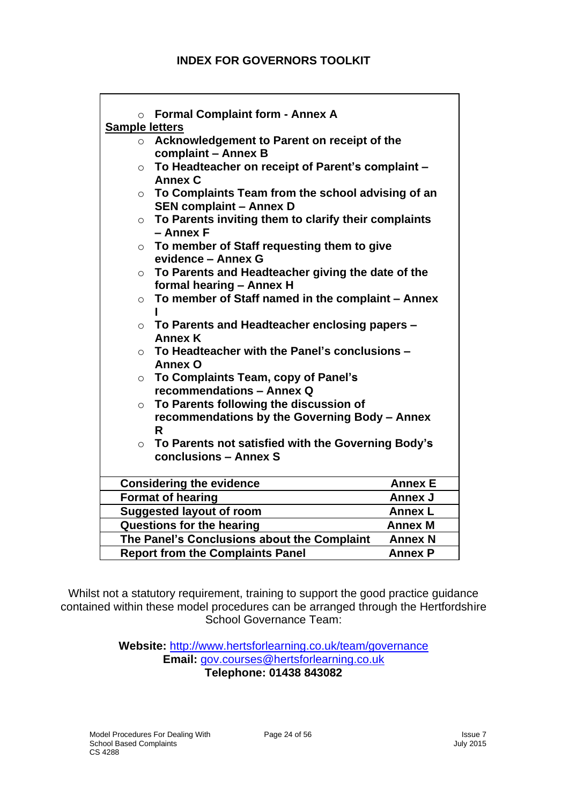| $\circ$               | <b>Formal Complaint form - Annex A</b>                                              |                |
|-----------------------|-------------------------------------------------------------------------------------|----------------|
| <b>Sample letters</b> |                                                                                     |                |
| $\circ$               | Acknowledgement to Parent on receipt of the                                         |                |
|                       | complaint - Annex B                                                                 |                |
| $\circ$               | To Headteacher on receipt of Parent's complaint -                                   |                |
|                       | <b>Annex C</b>                                                                      |                |
| $\circ$               | To Complaints Team from the school advising of an<br><b>SEN complaint - Annex D</b> |                |
| $\circ$               | To Parents inviting them to clarify their complaints                                |                |
|                       | - Annex F                                                                           |                |
|                       | $\circ$ To member of Staff requesting them to give                                  |                |
|                       | evidence - Annex G                                                                  |                |
| $\circ$               | To Parents and Headteacher giving the date of the                                   |                |
|                       | formal hearing - Annex H                                                            |                |
| $\circ$               | To member of Staff named in the complaint - Annex                                   |                |
|                       |                                                                                     |                |
| $\circ$               | To Parents and Headteacher enclosing papers -                                       |                |
|                       | <b>Annex K</b>                                                                      |                |
| $\circ$               | To Headteacher with the Panel's conclusions -                                       |                |
|                       | <b>Annex O</b>                                                                      |                |
| $\circ$               | To Complaints Team, copy of Panel's                                                 |                |
|                       | recommendations - Annex Q                                                           |                |
| $\circ$               | To Parents following the discussion of                                              |                |
|                       | recommendations by the Governing Body - Annex                                       |                |
|                       | R                                                                                   |                |
|                       | $\circ$ To Parents not satisfied with the Governing Body's                          |                |
|                       | conclusions - Annex S                                                               |                |
|                       | <b>Considering the evidence</b>                                                     | <b>Annex E</b> |
|                       | <b>Format of hearing</b>                                                            | <b>Annex J</b> |
|                       | <b>Suggested layout of room</b>                                                     | <b>Annex L</b> |
|                       | <b>Questions for the hearing</b>                                                    | <b>Annex M</b> |
|                       | The Panel's Conclusions about the Complaint                                         | <b>Annex N</b> |
|                       | <b>Report from the Complaints Panel</b>                                             | <b>Annex P</b> |

Whilst not a statutory requirement, training to support the good practice guidance contained within these model procedures can be arranged through the Hertfordshire School Governance Team:

> **Website:** <http://www.hertsforlearning.co.uk/team/governance> **Email:** [gov.courses@hertsforlearning.co.uk](mailto:gov.courses@hertsforlearning.co.uk) **Telephone: 01438 843082**

 $\overline{1}$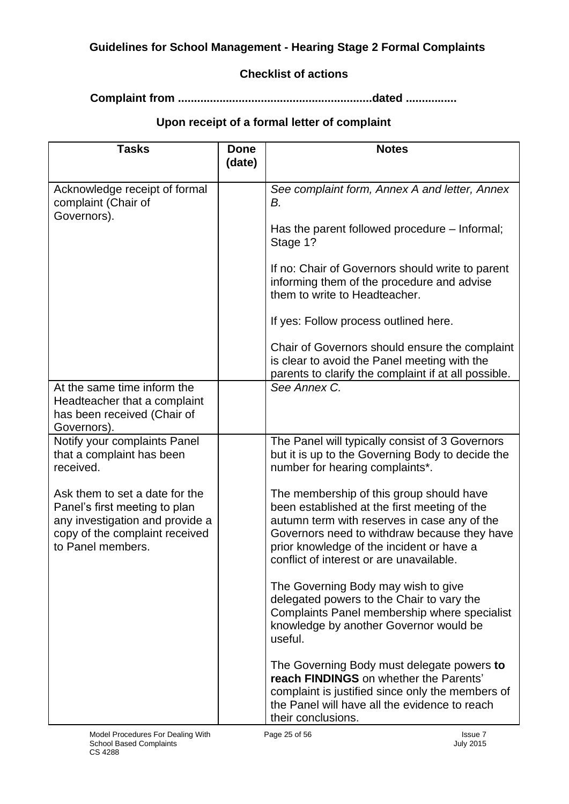#### **Guidelines for School Management - Hearing Stage 2 Formal Complaints**

#### **Checklist of actions**

**Complaint from .............................................................dated ................**

### **Upon receipt of a formal letter of complaint**

| <b>Tasks</b>                                                                                                                                              | <b>Done</b><br>(date) | <b>Notes</b>                                                                                                                                                                                                                                                                      |
|-----------------------------------------------------------------------------------------------------------------------------------------------------------|-----------------------|-----------------------------------------------------------------------------------------------------------------------------------------------------------------------------------------------------------------------------------------------------------------------------------|
| Acknowledge receipt of formal<br>complaint (Chair of<br>Governors).                                                                                       |                       | See complaint form, Annex A and letter, Annex<br>В.                                                                                                                                                                                                                               |
|                                                                                                                                                           |                       | Has the parent followed procedure – Informal;<br>Stage 1?                                                                                                                                                                                                                         |
|                                                                                                                                                           |                       | If no: Chair of Governors should write to parent<br>informing them of the procedure and advise<br>them to write to Headteacher.                                                                                                                                                   |
|                                                                                                                                                           |                       | If yes: Follow process outlined here.                                                                                                                                                                                                                                             |
|                                                                                                                                                           |                       | Chair of Governors should ensure the complaint<br>is clear to avoid the Panel meeting with the<br>parents to clarify the complaint if at all possible.                                                                                                                            |
| At the same time inform the<br>Headteacher that a complaint<br>has been received (Chair of<br>Governors).                                                 |                       | See Annex C.                                                                                                                                                                                                                                                                      |
| Notify your complaints Panel<br>that a complaint has been<br>received.                                                                                    |                       | The Panel will typically consist of 3 Governors<br>but it is up to the Governing Body to decide the<br>number for hearing complaints*.                                                                                                                                            |
| Ask them to set a date for the<br>Panel's first meeting to plan<br>any investigation and provide a<br>copy of the complaint received<br>to Panel members. |                       | The membership of this group should have<br>been established at the first meeting of the<br>autumn term with reserves in case any of the<br>Governors need to withdraw because they have<br>prior knowledge of the incident or have a<br>conflict of interest or are unavailable. |
|                                                                                                                                                           |                       | The Governing Body may wish to give<br>delegated powers to the Chair to vary the<br>Complaints Panel membership where specialist<br>knowledge by another Governor would be<br>useful.                                                                                             |
|                                                                                                                                                           |                       | The Governing Body must delegate powers to<br>reach FINDINGS on whether the Parents'<br>complaint is justified since only the members of<br>the Panel will have all the evidence to reach<br>their conclusions.                                                                   |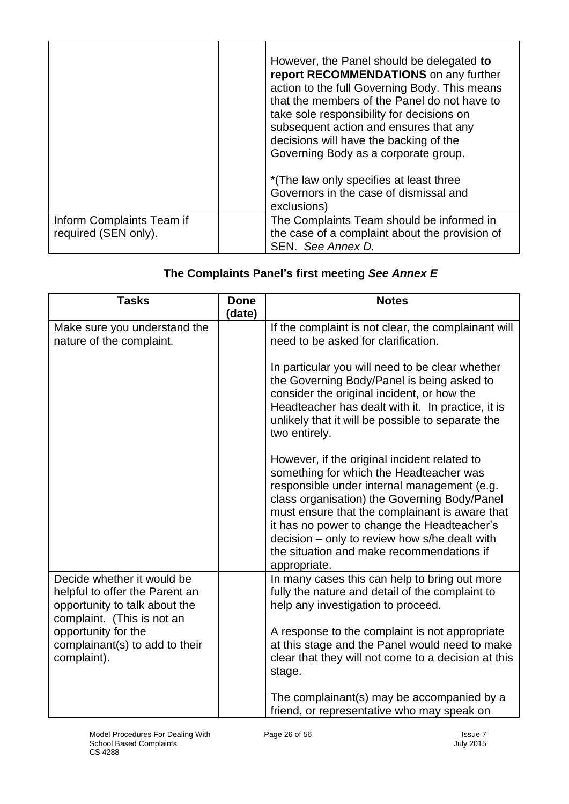|                           | However, the Panel should be delegated to<br>report RECOMMENDATIONS on any further<br>action to the full Governing Body. This means<br>that the members of the Panel do not have to<br>take sole responsibility for decisions on<br>subsequent action and ensures that any<br>decisions will have the backing of the<br>Governing Body as a corporate group.<br>*(The law only specifies at least three<br>Governors in the case of dismissal and<br>exclusions) |
|---------------------------|------------------------------------------------------------------------------------------------------------------------------------------------------------------------------------------------------------------------------------------------------------------------------------------------------------------------------------------------------------------------------------------------------------------------------------------------------------------|
| Inform Complaints Team if | The Complaints Team should be informed in                                                                                                                                                                                                                                                                                                                                                                                                                        |
| required (SEN only).      | the case of a complaint about the provision of<br>SEN. See Annex D.                                                                                                                                                                                                                                                                                                                                                                                              |

# **The Complaints Panel's first meeting** *See Annex E*

| <b>Tasks</b>                                                                                                                                                                                        | <b>Done</b><br>(date) | <b>Notes</b>                                                                                                                                                                                                                                                                                                                                                                                                                                                    |
|-----------------------------------------------------------------------------------------------------------------------------------------------------------------------------------------------------|-----------------------|-----------------------------------------------------------------------------------------------------------------------------------------------------------------------------------------------------------------------------------------------------------------------------------------------------------------------------------------------------------------------------------------------------------------------------------------------------------------|
| Make sure you understand the<br>nature of the complaint.                                                                                                                                            |                       | If the complaint is not clear, the complainant will<br>need to be asked for clarification.<br>In particular you will need to be clear whether<br>the Governing Body/Panel is being asked to<br>consider the original incident, or how the<br>Headteacher has dealt with it. In practice, it is<br>unlikely that it will be possible to separate the<br>two entirely.<br>However, if the original incident related to<br>something for which the Headteacher was |
|                                                                                                                                                                                                     |                       | responsible under internal management (e.g.<br>class organisation) the Governing Body/Panel<br>must ensure that the complainant is aware that<br>it has no power to change the Headteacher's<br>decision – only to review how s/he dealt with<br>the situation and make recommendations if<br>appropriate.                                                                                                                                                      |
| Decide whether it would be<br>helpful to offer the Parent an<br>opportunity to talk about the<br>complaint. (This is not an<br>opportunity for the<br>complainant(s) to add to their<br>complaint). |                       | In many cases this can help to bring out more<br>fully the nature and detail of the complaint to<br>help any investigation to proceed.<br>A response to the complaint is not appropriate<br>at this stage and the Panel would need to make<br>clear that they will not come to a decision at this<br>stage.                                                                                                                                                     |
|                                                                                                                                                                                                     |                       | The complainant(s) may be accompanied by a<br>friend, or representative who may speak on                                                                                                                                                                                                                                                                                                                                                                        |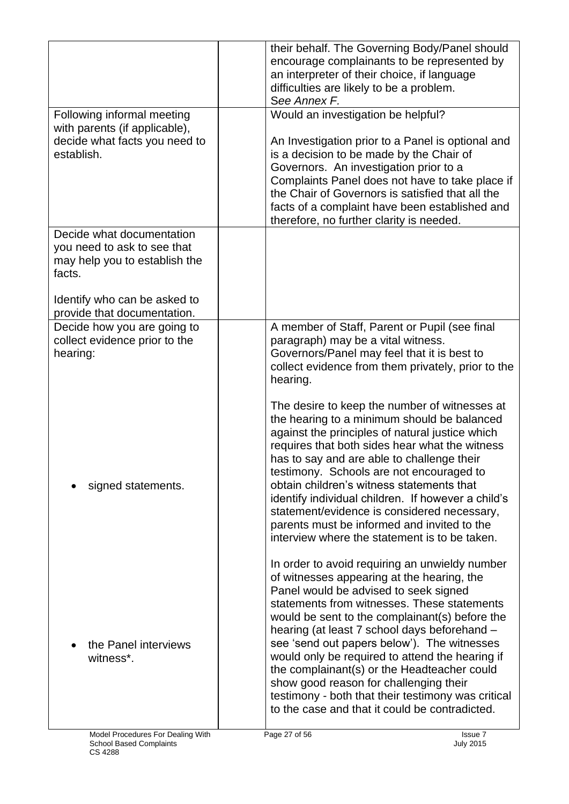|                                                                                                     | their behalf. The Governing Body/Panel should<br>encourage complainants to be represented by<br>an interpreter of their choice, if language<br>difficulties are likely to be a problem.<br>See Annex F.                                                                                                                                                                                                                                                                                                                                                                                   |
|-----------------------------------------------------------------------------------------------------|-------------------------------------------------------------------------------------------------------------------------------------------------------------------------------------------------------------------------------------------------------------------------------------------------------------------------------------------------------------------------------------------------------------------------------------------------------------------------------------------------------------------------------------------------------------------------------------------|
| Following informal meeting                                                                          | Would an investigation be helpful?                                                                                                                                                                                                                                                                                                                                                                                                                                                                                                                                                        |
| with parents (if applicable),<br>decide what facts you need to<br>establish.                        | An Investigation prior to a Panel is optional and<br>is a decision to be made by the Chair of<br>Governors. An investigation prior to a<br>Complaints Panel does not have to take place if<br>the Chair of Governors is satisfied that all the<br>facts of a complaint have been established and<br>therefore, no further clarity is needed.                                                                                                                                                                                                                                              |
| Decide what documentation<br>you need to ask to see that<br>may help you to establish the<br>facts. |                                                                                                                                                                                                                                                                                                                                                                                                                                                                                                                                                                                           |
| Identify who can be asked to<br>provide that documentation.                                         |                                                                                                                                                                                                                                                                                                                                                                                                                                                                                                                                                                                           |
| Decide how you are going to<br>collect evidence prior to the<br>hearing:                            | A member of Staff, Parent or Pupil (see final<br>paragraph) may be a vital witness.<br>Governors/Panel may feel that it is best to<br>collect evidence from them privately, prior to the<br>hearing.                                                                                                                                                                                                                                                                                                                                                                                      |
| signed statements.                                                                                  | The desire to keep the number of witnesses at<br>the hearing to a minimum should be balanced<br>against the principles of natural justice which<br>requires that both sides hear what the witness<br>has to say and are able to challenge their<br>testimony. Schools are not encouraged to<br>obtain children's witness statements that<br>identify individual children. If however a child's<br>statement/evidence is considered necessary,<br>parents must be informed and invited to the<br>interview where the statement is to be taken.                                             |
| the Panel interviews<br>witness*.                                                                   | In order to avoid requiring an unwieldy number<br>of witnesses appearing at the hearing, the<br>Panel would be advised to seek signed<br>statements from witnesses. These statements<br>would be sent to the complainant(s) before the<br>hearing (at least 7 school days beforehand -<br>see 'send out papers below'). The witnesses<br>would only be required to attend the hearing if<br>the complainant(s) or the Headteacher could<br>show good reason for challenging their<br>testimony - both that their testimony was critical<br>to the case and that it could be contradicted. |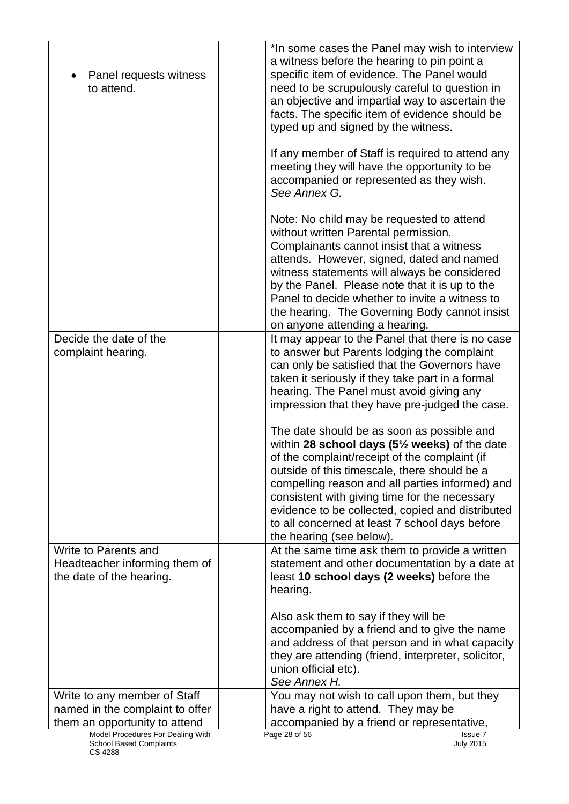| Panel requests witness<br>to attend.                                              | *In some cases the Panel may wish to interview<br>a witness before the hearing to pin point a<br>specific item of evidence. The Panel would<br>need to be scrupulously careful to question in<br>an objective and impartial way to ascertain the<br>facts. The specific item of evidence should be<br>typed up and signed by the witness.<br>If any member of Staff is required to attend any<br>meeting they will have the opportunity to be<br>accompanied or represented as they wish.<br>See Annex G.                                                                                                         |
|-----------------------------------------------------------------------------------|-------------------------------------------------------------------------------------------------------------------------------------------------------------------------------------------------------------------------------------------------------------------------------------------------------------------------------------------------------------------------------------------------------------------------------------------------------------------------------------------------------------------------------------------------------------------------------------------------------------------|
|                                                                                   | Note: No child may be requested to attend<br>without written Parental permission.<br>Complainants cannot insist that a witness<br>attends. However, signed, dated and named<br>witness statements will always be considered<br>by the Panel. Please note that it is up to the<br>Panel to decide whether to invite a witness to<br>the hearing. The Governing Body cannot insist<br>on anyone attending a hearing.                                                                                                                                                                                                |
| Decide the date of the<br>complaint hearing.                                      | It may appear to the Panel that there is no case<br>to answer but Parents lodging the complaint<br>can only be satisfied that the Governors have<br>taken it seriously if they take part in a formal<br>hearing. The Panel must avoid giving any<br>impression that they have pre-judged the case.<br>The date should be as soon as possible and<br>within 28 school days $(5\frac{1}{2}$ weeks) of the date<br>of the complaint/receipt of the complaint (if<br>outside of this timescale, there should be a<br>compelling reason and all parties informed) and<br>consistent with giving time for the necessary |
|                                                                                   | evidence to be collected, copied and distributed<br>to all concerned at least 7 school days before<br>the hearing (see below).                                                                                                                                                                                                                                                                                                                                                                                                                                                                                    |
| Write to Parents and<br>Headteacher informing them of<br>the date of the hearing. | At the same time ask them to provide a written<br>statement and other documentation by a date at<br>least 10 school days (2 weeks) before the<br>hearing.                                                                                                                                                                                                                                                                                                                                                                                                                                                         |
|                                                                                   | Also ask them to say if they will be<br>accompanied by a friend and to give the name<br>and address of that person and in what capacity<br>they are attending (friend, interpreter, solicitor,<br>union official etc).<br>See Annex H.                                                                                                                                                                                                                                                                                                                                                                            |
| Write to any member of Staff<br>named in the complaint to offer                   | You may not wish to call upon them, but they<br>have a right to attend. They may be                                                                                                                                                                                                                                                                                                                                                                                                                                                                                                                               |
| them an opportunity to attend                                                     | accompanied by a friend or representative,                                                                                                                                                                                                                                                                                                                                                                                                                                                                                                                                                                        |
| Model Procedures For Dealing With<br><b>School Based Complaints</b>               | Page 28 of 56<br>Issue 7<br><b>July 2015</b>                                                                                                                                                                                                                                                                                                                                                                                                                                                                                                                                                                      |

CS 4288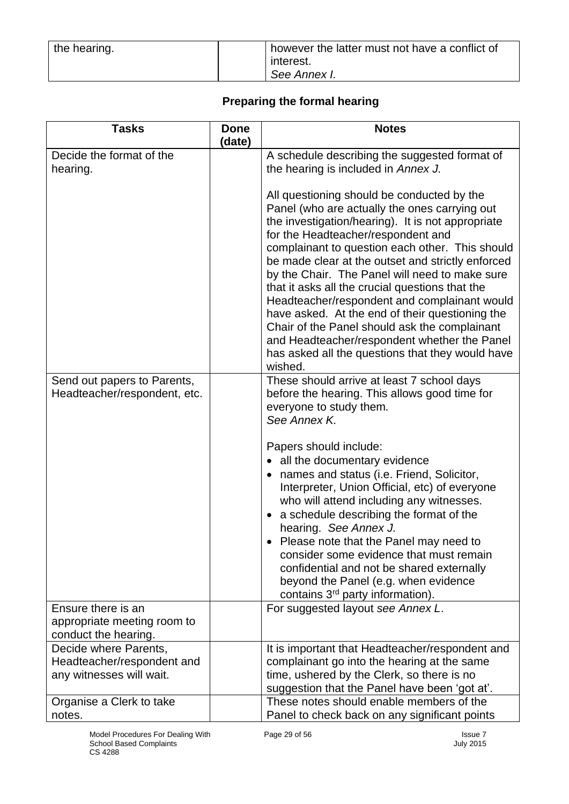| the hearing. | however the latter must not have a conflict of<br>interest. |
|--------------|-------------------------------------------------------------|
|              | See Annex I.                                                |

### **Preparing the formal hearing**

| <b>Tasks</b>                                                                    | <b>Done</b> | <b>Notes</b>                                                                                                                                                                                                                                                                                                                                                                                                                                                                                                                                                                                                                                                           |
|---------------------------------------------------------------------------------|-------------|------------------------------------------------------------------------------------------------------------------------------------------------------------------------------------------------------------------------------------------------------------------------------------------------------------------------------------------------------------------------------------------------------------------------------------------------------------------------------------------------------------------------------------------------------------------------------------------------------------------------------------------------------------------------|
|                                                                                 | (date)      |                                                                                                                                                                                                                                                                                                                                                                                                                                                                                                                                                                                                                                                                        |
| Decide the format of the<br>hearing.                                            |             | A schedule describing the suggested format of<br>the hearing is included in Annex J.                                                                                                                                                                                                                                                                                                                                                                                                                                                                                                                                                                                   |
|                                                                                 |             | All questioning should be conducted by the<br>Panel (who are actually the ones carrying out<br>the investigation/hearing). It is not appropriate<br>for the Headteacher/respondent and<br>complainant to question each other. This should<br>be made clear at the outset and strictly enforced<br>by the Chair. The Panel will need to make sure<br>that it asks all the crucial questions that the<br>Headteacher/respondent and complainant would<br>have asked. At the end of their questioning the<br>Chair of the Panel should ask the complainant<br>and Headteacher/respondent whether the Panel<br>has asked all the questions that they would have<br>wished. |
| Send out papers to Parents,<br>Headteacher/respondent, etc.                     |             | These should arrive at least 7 school days<br>before the hearing. This allows good time for<br>everyone to study them.<br>See Annex K.                                                                                                                                                                                                                                                                                                                                                                                                                                                                                                                                 |
|                                                                                 |             | Papers should include:<br>• all the documentary evidence<br>• names and status (i.e. Friend, Solicitor,<br>Interpreter, Union Official, etc) of everyone<br>who will attend including any witnesses.<br>a schedule describing the format of the<br>hearing. See Annex J.<br>• Please note that the Panel may need to<br>consider some evidence that must remain<br>confidential and not be shared externally<br>beyond the Panel (e.g. when evidence<br>contains 3 <sup>rd</sup> party information).                                                                                                                                                                   |
| Ensure there is an<br>appropriate meeting room to<br>conduct the hearing.       |             | For suggested layout see Annex L.                                                                                                                                                                                                                                                                                                                                                                                                                                                                                                                                                                                                                                      |
| Decide where Parents,<br>Headteacher/respondent and<br>any witnesses will wait. |             | It is important that Headteacher/respondent and<br>complainant go into the hearing at the same<br>time, ushered by the Clerk, so there is no<br>suggestion that the Panel have been 'got at'.                                                                                                                                                                                                                                                                                                                                                                                                                                                                          |
| Organise a Clerk to take<br>notes.                                              |             | These notes should enable members of the<br>Panel to check back on any significant points                                                                                                                                                                                                                                                                                                                                                                                                                                                                                                                                                                              |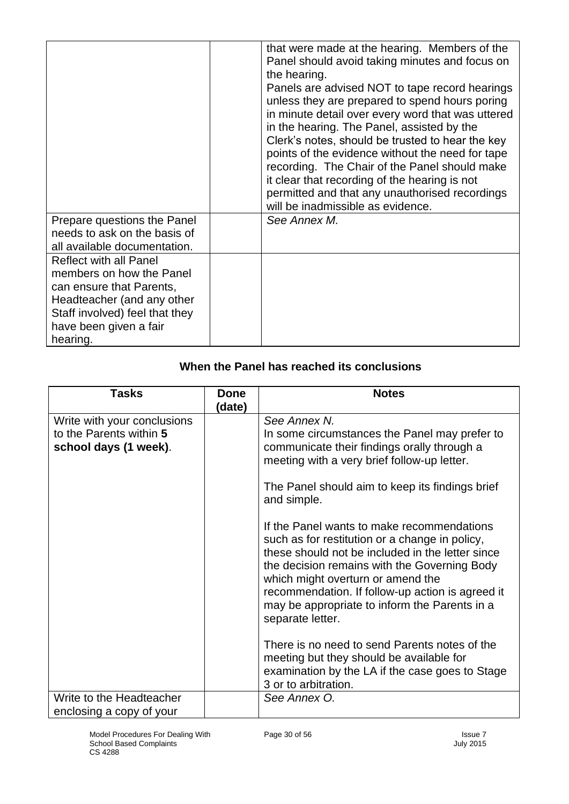|                                                                                                                                                                                             | that were made at the hearing. Members of the<br>Panel should avoid taking minutes and focus on<br>the hearing.<br>Panels are advised NOT to tape record hearings<br>unless they are prepared to spend hours poring<br>in minute detail over every word that was uttered<br>in the hearing. The Panel, assisted by the<br>Clerk's notes, should be trusted to hear the key<br>points of the evidence without the need for tape<br>recording. The Chair of the Panel should make<br>it clear that recording of the hearing is not<br>permitted and that any unauthorised recordings<br>will be inadmissible as evidence. |
|---------------------------------------------------------------------------------------------------------------------------------------------------------------------------------------------|-------------------------------------------------------------------------------------------------------------------------------------------------------------------------------------------------------------------------------------------------------------------------------------------------------------------------------------------------------------------------------------------------------------------------------------------------------------------------------------------------------------------------------------------------------------------------------------------------------------------------|
| Prepare questions the Panel<br>needs to ask on the basis of<br>all available documentation.                                                                                                 | See Annex M.                                                                                                                                                                                                                                                                                                                                                                                                                                                                                                                                                                                                            |
| <b>Reflect with all Panel</b><br>members on how the Panel<br>can ensure that Parents,<br>Headteacher (and any other<br>Staff involved) feel that they<br>have been given a fair<br>hearing. |                                                                                                                                                                                                                                                                                                                                                                                                                                                                                                                                                                                                                         |

| When the Panel has reached its conclusions |
|--------------------------------------------|
|--------------------------------------------|

| (date) | See Annex N.<br>In some circumstances the Panel may prefer to<br>communicate their findings orally through a<br>meeting with a very brief follow-up letter.<br>The Panel should aim to keep its findings brief<br>and simple.<br>If the Panel wants to make recommendations<br>such as for restitution or a change in policy,<br>these should not be included in the letter since<br>the decision remains with the Governing Body<br>which might overturn or amend the<br>recommendation. If follow-up action is agreed it<br>may be appropriate to inform the Parents in a<br>separate letter.<br>There is no need to send Parents notes of the<br>meeting but they should be available for<br>examination by the LA if the case goes to Stage |
|--------|-------------------------------------------------------------------------------------------------------------------------------------------------------------------------------------------------------------------------------------------------------------------------------------------------------------------------------------------------------------------------------------------------------------------------------------------------------------------------------------------------------------------------------------------------------------------------------------------------------------------------------------------------------------------------------------------------------------------------------------------------|
|        | 3 or to arbitration.<br>See Annex O.                                                                                                                                                                                                                                                                                                                                                                                                                                                                                                                                                                                                                                                                                                            |
|        |                                                                                                                                                                                                                                                                                                                                                                                                                                                                                                                                                                                                                                                                                                                                                 |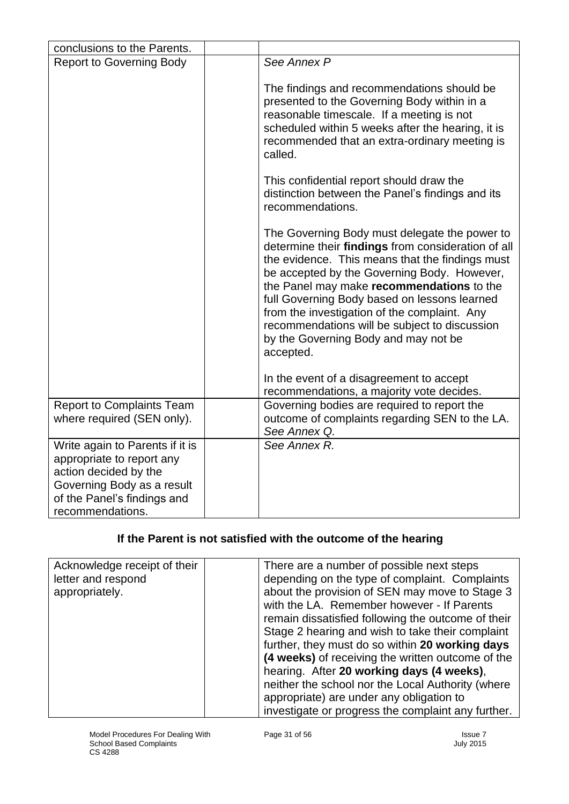| conclusions to the Parents.                                                                                                                                            |                                                                                                                                                                                                                                                                                                                                                                                                                                                          |
|------------------------------------------------------------------------------------------------------------------------------------------------------------------------|----------------------------------------------------------------------------------------------------------------------------------------------------------------------------------------------------------------------------------------------------------------------------------------------------------------------------------------------------------------------------------------------------------------------------------------------------------|
| <b>Report to Governing Body</b>                                                                                                                                        | See Annex P                                                                                                                                                                                                                                                                                                                                                                                                                                              |
|                                                                                                                                                                        | The findings and recommendations should be<br>presented to the Governing Body within in a<br>reasonable timescale. If a meeting is not<br>scheduled within 5 weeks after the hearing, it is<br>recommended that an extra-ordinary meeting is<br>called.                                                                                                                                                                                                  |
|                                                                                                                                                                        | This confidential report should draw the<br>distinction between the Panel's findings and its<br>recommendations.                                                                                                                                                                                                                                                                                                                                         |
|                                                                                                                                                                        | The Governing Body must delegate the power to<br>determine their findings from consideration of all<br>the evidence. This means that the findings must<br>be accepted by the Governing Body. However,<br>the Panel may make recommendations to the<br>full Governing Body based on lessons learned<br>from the investigation of the complaint. Any<br>recommendations will be subject to discussion<br>by the Governing Body and may not be<br>accepted. |
|                                                                                                                                                                        | In the event of a disagreement to accept<br>recommendations, a majority vote decides.                                                                                                                                                                                                                                                                                                                                                                    |
| <b>Report to Complaints Team</b><br>where required (SEN only).                                                                                                         | Governing bodies are required to report the<br>outcome of complaints regarding SEN to the LA.<br>See Annex Q.                                                                                                                                                                                                                                                                                                                                            |
| Write again to Parents if it is<br>appropriate to report any<br>action decided by the<br>Governing Body as a result<br>of the Panel's findings and<br>recommendations. | See Annex R.                                                                                                                                                                                                                                                                                                                                                                                                                                             |

#### **If the Parent is not satisfied with the outcome of the hearing**

| Acknowledge receipt of their<br>letter and respond<br>appropriately. | There are a number of possible next steps<br>depending on the type of complaint. Complaints<br>about the provision of SEN may move to Stage 3<br>with the LA. Remember however - If Parents<br>remain dissatisfied following the outcome of their<br>Stage 2 hearing and wish to take their complaint<br>further, they must do so within 20 working days<br>(4 weeks) of receiving the written outcome of the<br>hearing. After 20 working days (4 weeks),<br>neither the school nor the Local Authority (where<br>appropriate) are under any obligation to |
|----------------------------------------------------------------------|-------------------------------------------------------------------------------------------------------------------------------------------------------------------------------------------------------------------------------------------------------------------------------------------------------------------------------------------------------------------------------------------------------------------------------------------------------------------------------------------------------------------------------------------------------------|
|                                                                      | investigate or progress the complaint any further.                                                                                                                                                                                                                                                                                                                                                                                                                                                                                                          |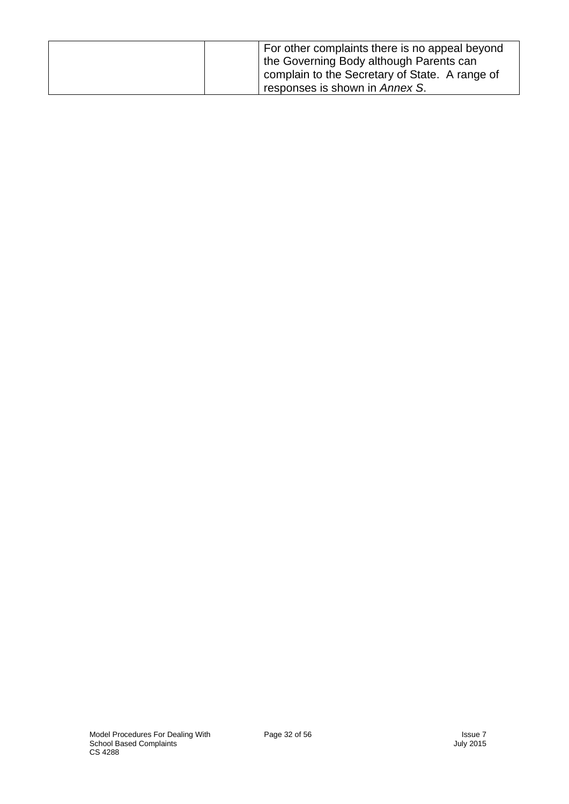| For other complaints there is no appeal beyond<br>the Governing Body although Parents can<br>complain to the Secretary of State. A range of |
|---------------------------------------------------------------------------------------------------------------------------------------------|
| responses is shown in <i>Annex S</i> .                                                                                                      |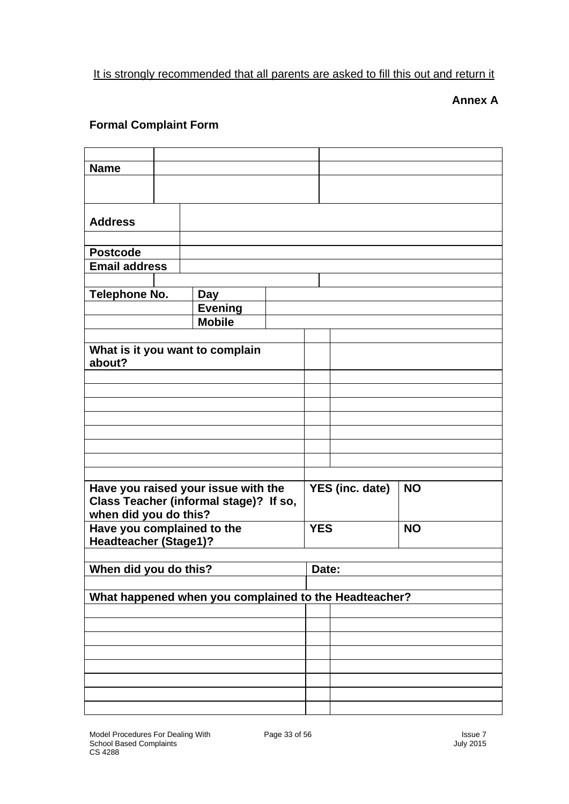### It is strongly recommended that all parents are asked to fill this out and return it

#### **Annex A**

#### **Formal Complaint Form**

| <b>Name</b>                    |  |                                                       |  |            |                 |           |  |
|--------------------------------|--|-------------------------------------------------------|--|------------|-----------------|-----------|--|
|                                |  |                                                       |  |            |                 |           |  |
|                                |  |                                                       |  |            |                 |           |  |
|                                |  |                                                       |  |            |                 |           |  |
| <b>Address</b>                 |  |                                                       |  |            |                 |           |  |
|                                |  |                                                       |  |            |                 |           |  |
| <b>Postcode</b>                |  |                                                       |  |            |                 |           |  |
| <b>Email address</b>           |  |                                                       |  |            |                 |           |  |
|                                |  |                                                       |  |            |                 |           |  |
| <b>Telephone No.</b>           |  | Day                                                   |  |            |                 |           |  |
|                                |  | <b>Evening</b>                                        |  |            |                 |           |  |
|                                |  | <b>Mobile</b>                                         |  |            |                 |           |  |
|                                |  |                                                       |  |            |                 |           |  |
|                                |  | What is it you want to complain                       |  |            |                 |           |  |
| about?                         |  |                                                       |  |            |                 |           |  |
|                                |  |                                                       |  |            |                 |           |  |
|                                |  |                                                       |  |            |                 |           |  |
|                                |  |                                                       |  |            |                 |           |  |
|                                |  |                                                       |  |            |                 |           |  |
|                                |  |                                                       |  |            |                 |           |  |
|                                |  |                                                       |  |            |                 |           |  |
|                                |  |                                                       |  |            |                 |           |  |
|                                |  |                                                       |  |            |                 |           |  |
|                                |  |                                                       |  |            |                 |           |  |
|                                |  | Have you raised your issue with the                   |  |            | YES (inc. date) | <b>NO</b> |  |
|                                |  | Class Teacher (informal stage)? If so,                |  |            |                 |           |  |
| when did you do this?          |  |                                                       |  |            |                 |           |  |
| Have you complained to the     |  |                                                       |  | <b>YES</b> |                 | <b>NO</b> |  |
| <b>Headteacher (Stage1)?</b>   |  |                                                       |  |            |                 |           |  |
|                                |  |                                                       |  |            |                 |           |  |
| When did you do this?<br>Date: |  |                                                       |  |            |                 |           |  |
|                                |  |                                                       |  |            |                 |           |  |
|                                |  | What happened when you complained to the Headteacher? |  |            |                 |           |  |
|                                |  |                                                       |  |            |                 |           |  |
|                                |  |                                                       |  |            |                 |           |  |
|                                |  |                                                       |  |            |                 |           |  |
|                                |  |                                                       |  |            |                 |           |  |
|                                |  |                                                       |  |            |                 |           |  |
|                                |  |                                                       |  |            |                 |           |  |
|                                |  |                                                       |  |            |                 |           |  |
|                                |  |                                                       |  |            |                 |           |  |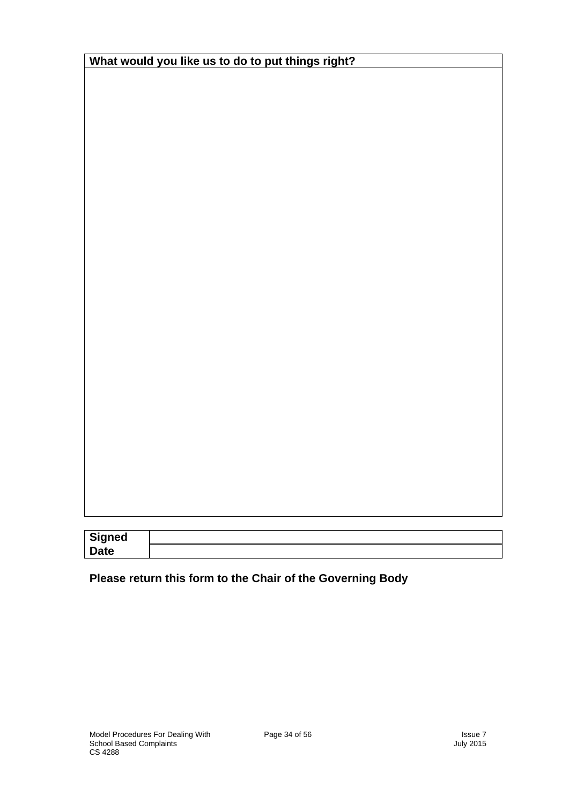| What would you like us to do to put things right? |  |
|---------------------------------------------------|--|
|---------------------------------------------------|--|

| <b>Signed</b> |  |
|---------------|--|
| <b>Date</b>   |  |

### **Please return this form to the Chair of the Governing Body**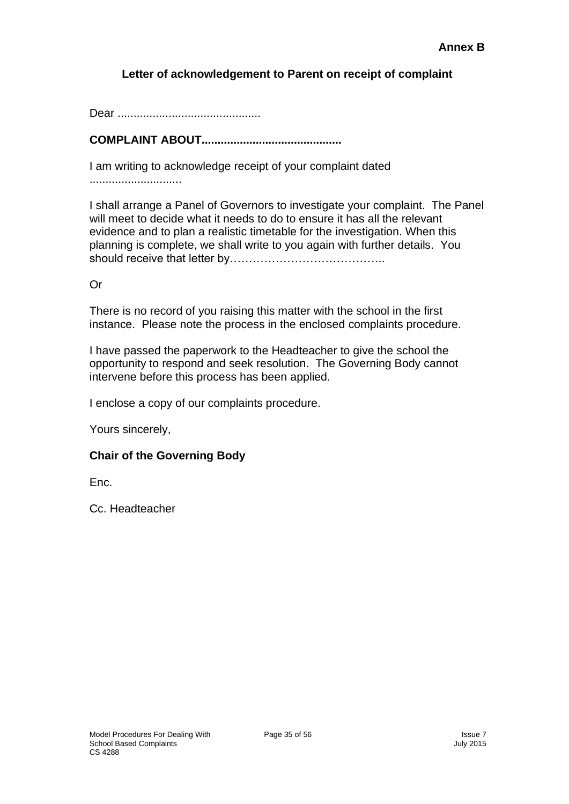#### **Letter of acknowledgement to Parent on receipt of complaint**

Dear .............................................

**COMPLAINT ABOUT............................................**

I am writing to acknowledge receipt of your complaint dated

.............................

I shall arrange a Panel of Governors to investigate your complaint. The Panel will meet to decide what it needs to do to ensure it has all the relevant evidence and to plan a realistic timetable for the investigation. When this planning is complete, we shall write to you again with further details. You should receive that letter by…………………………………..

Or

There is no record of you raising this matter with the school in the first instance. Please note the process in the enclosed complaints procedure.

I have passed the paperwork to the Headteacher to give the school the opportunity to respond and seek resolution. The Governing Body cannot intervene before this process has been applied.

I enclose a copy of our complaints procedure.

Yours sincerely,

#### **Chair of the Governing Body**

Enc.

Cc. Headteacher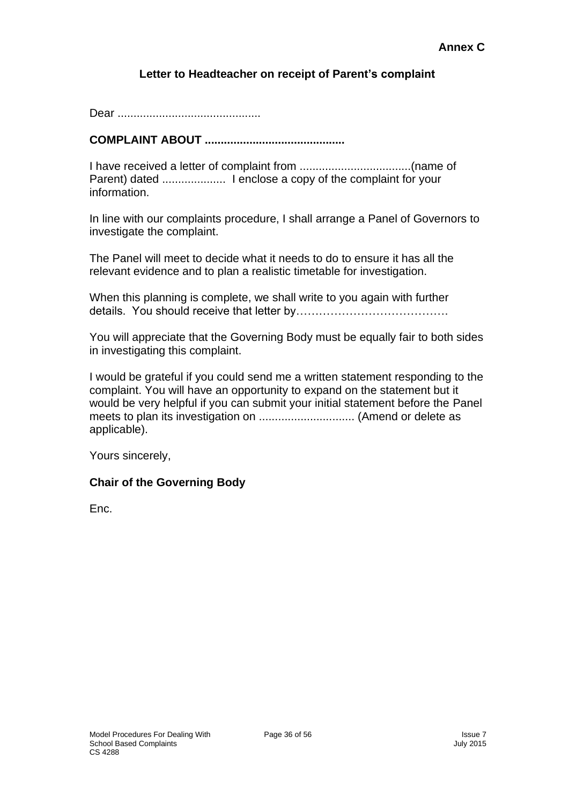#### **Letter to Headteacher on receipt of Parent's complaint**

Dear .............................................

#### **COMPLAINT ABOUT ............................................**

I have received a letter of complaint from ...................................(name of Parent) dated .................... I enclose a copy of the complaint for your information.

In line with our complaints procedure, I shall arrange a Panel of Governors to investigate the complaint.

The Panel will meet to decide what it needs to do to ensure it has all the relevant evidence and to plan a realistic timetable for investigation.

When this planning is complete, we shall write to you again with further details. You should receive that letter by………………………………….

You will appreciate that the Governing Body must be equally fair to both sides in investigating this complaint.

I would be grateful if you could send me a written statement responding to the complaint. You will have an opportunity to expand on the statement but it would be very helpful if you can submit your initial statement before the Panel meets to plan its investigation on .............................. (Amend or delete as applicable).

Yours sincerely,

#### **Chair of the Governing Body**

Enc.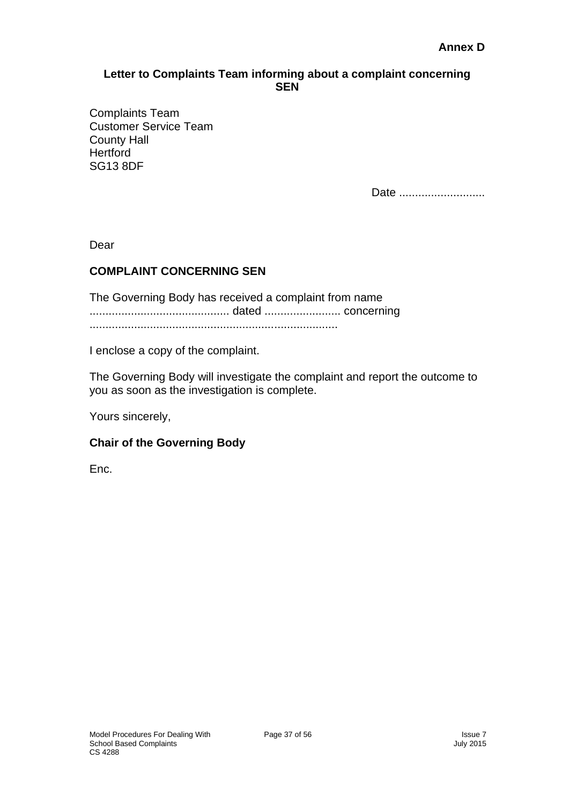#### **Letter to Complaints Team informing about a complaint concerning SEN**

Complaints Team Customer Service Team County Hall **Hertford** SG13 8DF

Date ............................

Dear

#### **COMPLAINT CONCERNING SEN**

The Governing Body has received a complaint from name ............................................ dated ........................ concerning ..............................................................................

I enclose a copy of the complaint.

The Governing Body will investigate the complaint and report the outcome to you as soon as the investigation is complete.

Yours sincerely,

#### **Chair of the Governing Body**

Enc.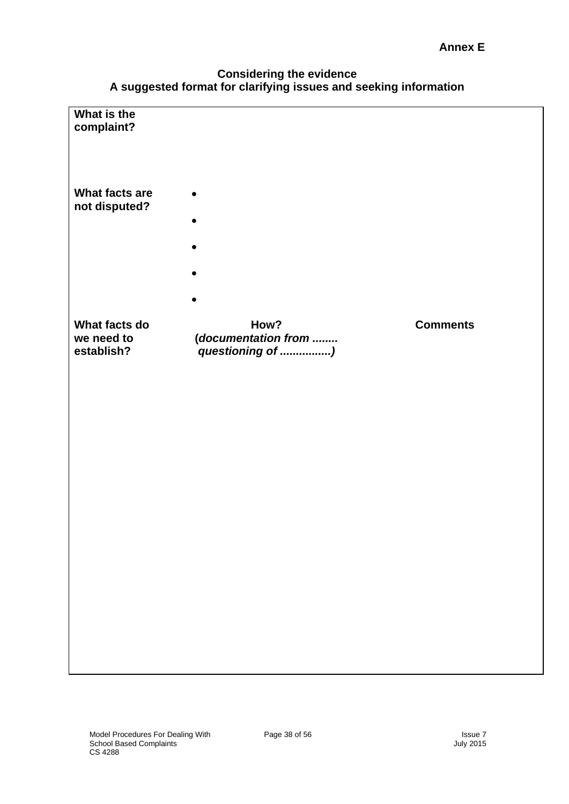#### **Annex E**

#### **Considering the evidence A suggested format for clarifying issues and seeking information**

| What is the    |                                         |                 |
|----------------|-----------------------------------------|-----------------|
| complaint?     |                                         |                 |
|                |                                         |                 |
| What facts are |                                         |                 |
| not disputed?  |                                         |                 |
|                |                                         |                 |
|                |                                         |                 |
|                |                                         |                 |
| What facts do  | How?                                    | <b>Comments</b> |
| we need to     | (documentation from<br>questioning of ) |                 |
| establish?     |                                         |                 |
|                |                                         |                 |
|                |                                         |                 |
|                |                                         |                 |
|                |                                         |                 |
|                |                                         |                 |
|                |                                         |                 |
|                |                                         |                 |
|                |                                         |                 |
|                |                                         |                 |
|                |                                         |                 |
|                |                                         |                 |
|                |                                         |                 |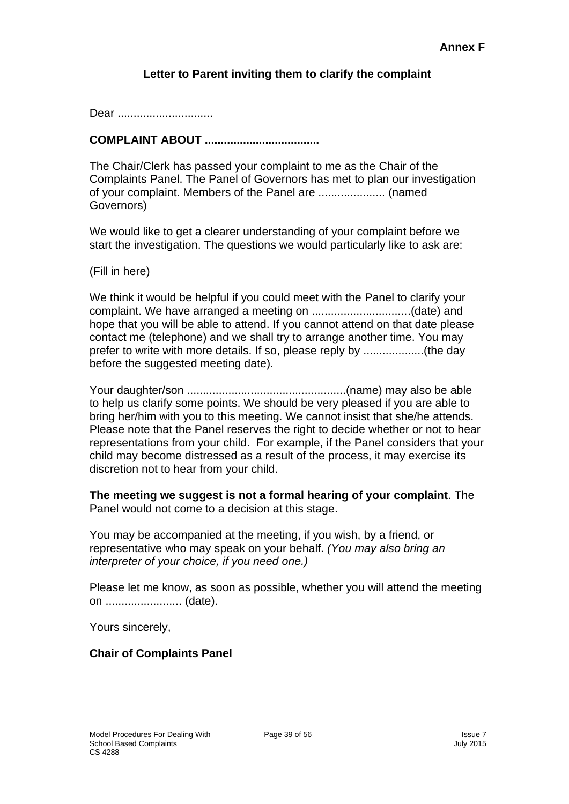#### **Letter to Parent inviting them to clarify the complaint**

Dear ..............................

#### **COMPLAINT ABOUT ....................................**

The Chair/Clerk has passed your complaint to me as the Chair of the Complaints Panel. The Panel of Governors has met to plan our investigation of your complaint. Members of the Panel are ..................... (named Governors)

We would like to get a clearer understanding of your complaint before we start the investigation. The questions we would particularly like to ask are:

(Fill in here)

We think it would be helpful if you could meet with the Panel to clarify your complaint. We have arranged a meeting on ...............................(date) and hope that you will be able to attend. If you cannot attend on that date please contact me (telephone) and we shall try to arrange another time. You may prefer to write with more details. If so, please reply by ...................(the day before the suggested meeting date).

Your daughter/son ..................................................(name) may also be able to help us clarify some points. We should be very pleased if you are able to bring her/him with you to this meeting. We cannot insist that she/he attends. Please note that the Panel reserves the right to decide whether or not to hear representations from your child. For example, if the Panel considers that your child may become distressed as a result of the process, it may exercise its discretion not to hear from your child.

**The meeting we suggest is not a formal hearing of your complaint**. The Panel would not come to a decision at this stage.

You may be accompanied at the meeting, if you wish, by a friend, or representative who may speak on your behalf. *(You may also bring an interpreter of your choice, if you need one.)*

Please let me know, as soon as possible, whether you will attend the meeting on ........................ (date).

Yours sincerely,

#### **Chair of Complaints Panel**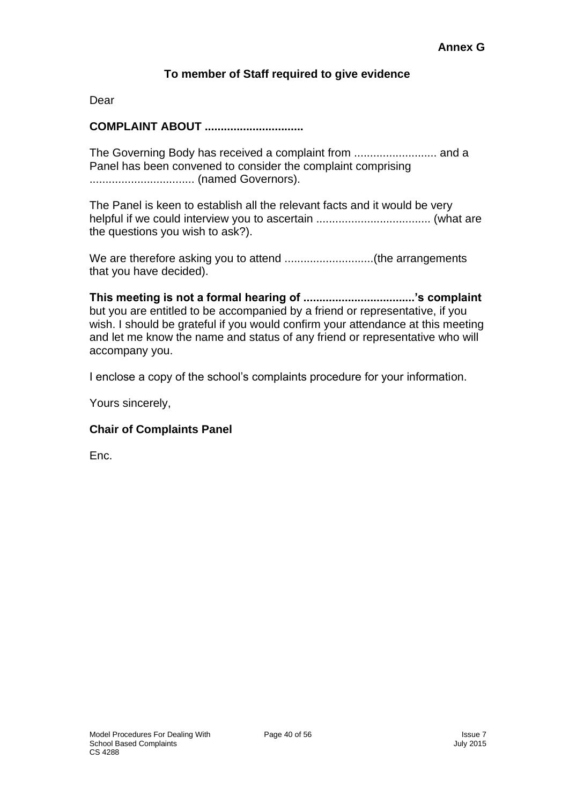#### **To member of Staff required to give evidence**

Dear

#### **COMPLAINT ABOUT ...............................**

The Governing Body has received a complaint from .......................... and a Panel has been convened to consider the complaint comprising ................................. (named Governors).

The Panel is keen to establish all the relevant facts and it would be very helpful if we could interview you to ascertain .................................... (what are the questions you wish to ask?).

We are therefore asking you to attend ............................(the arrangements that you have decided).

**This meeting is not a formal hearing of ...................................'s complaint**  but you are entitled to be accompanied by a friend or representative, if you wish. I should be grateful if you would confirm your attendance at this meeting and let me know the name and status of any friend or representative who will accompany you.

I enclose a copy of the school's complaints procedure for your information.

Yours sincerely,

#### **Chair of Complaints Panel**

Enc.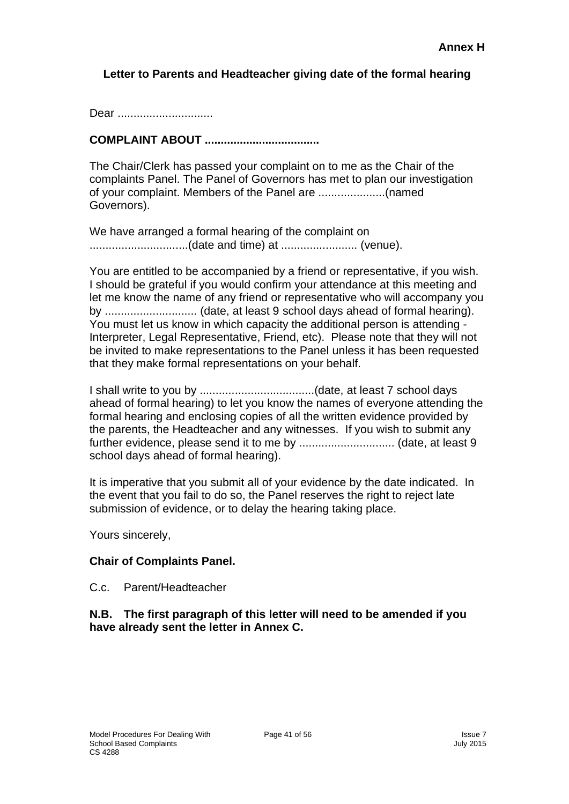#### **Letter to Parents and Headteacher giving date of the formal hearing**

Dear ................................

#### **COMPLAINT ABOUT ....................................**

The Chair/Clerk has passed your complaint on to me as the Chair of the complaints Panel. The Panel of Governors has met to plan our investigation of your complaint. Members of the Panel are .....................(named Governors).

We have arranged a formal hearing of the complaint on ...............................(date and time) at ........................ (venue).

You are entitled to be accompanied by a friend or representative, if you wish. I should be grateful if you would confirm your attendance at this meeting and let me know the name of any friend or representative who will accompany you by ............................. (date, at least 9 school days ahead of formal hearing). You must let us know in which capacity the additional person is attending - Interpreter, Legal Representative, Friend, etc). Please note that they will not be invited to make representations to the Panel unless it has been requested that they make formal representations on your behalf.

I shall write to you by ....................................(date, at least 7 school days ahead of formal hearing) to let you know the names of everyone attending the formal hearing and enclosing copies of all the written evidence provided by the parents, the Headteacher and any witnesses. If you wish to submit any further evidence, please send it to me by .............................. (date, at least 9 school days ahead of formal hearing).

It is imperative that you submit all of your evidence by the date indicated. In the event that you fail to do so, the Panel reserves the right to reject late submission of evidence, or to delay the hearing taking place.

Yours sincerely,

#### **Chair of Complaints Panel.**

C.c. Parent/Headteacher

#### **N.B. The first paragraph of this letter will need to be amended if you have already sent the letter in Annex C.**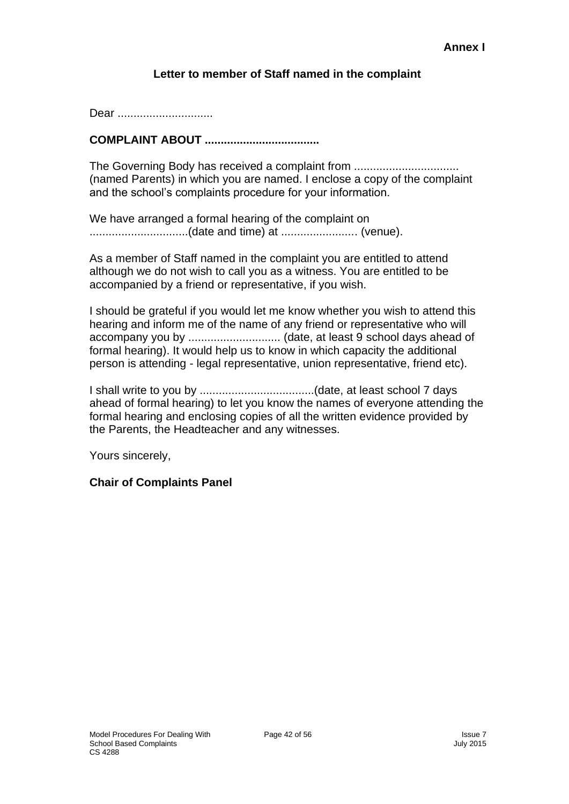#### **Letter to member of Staff named in the complaint**

Dear ..............................

#### **COMPLAINT ABOUT ....................................**

The Governing Body has received a complaint from ................................ (named Parents) in which you are named. I enclose a copy of the complaint and the school's complaints procedure for your information.

We have arranged a formal hearing of the complaint on ...............................(date and time) at ........................ (venue).

As a member of Staff named in the complaint you are entitled to attend although we do not wish to call you as a witness. You are entitled to be accompanied by a friend or representative, if you wish.

I should be grateful if you would let me know whether you wish to attend this hearing and inform me of the name of any friend or representative who will accompany you by ................................ (date, at least 9 school days ahead of formal hearing). It would help us to know in which capacity the additional person is attending - legal representative, union representative, friend etc).

I shall write to you by ....................................(date, at least school 7 days ahead of formal hearing) to let you know the names of everyone attending the formal hearing and enclosing copies of all the written evidence provided by the Parents, the Headteacher and any witnesses.

Yours sincerely,

#### **Chair of Complaints Panel**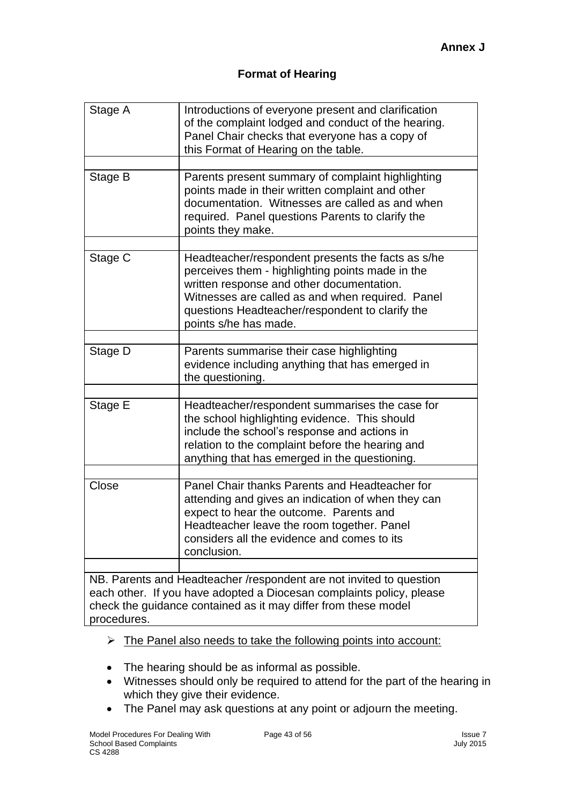| Stage A                                                                                                                                                                                                        | Introductions of everyone present and clarification<br>of the complaint lodged and conduct of the hearing.<br>Panel Chair checks that everyone has a copy of<br>this Format of Hearing on the table.                                                                               |  |  |
|----------------------------------------------------------------------------------------------------------------------------------------------------------------------------------------------------------------|------------------------------------------------------------------------------------------------------------------------------------------------------------------------------------------------------------------------------------------------------------------------------------|--|--|
| Stage B                                                                                                                                                                                                        | Parents present summary of complaint highlighting<br>points made in their written complaint and other<br>documentation. Witnesses are called as and when<br>required. Panel questions Parents to clarify the<br>points they make.                                                  |  |  |
| Stage C                                                                                                                                                                                                        | Headteacher/respondent presents the facts as s/he<br>perceives them - highlighting points made in the<br>written response and other documentation.<br>Witnesses are called as and when required. Panel<br>questions Headteacher/respondent to clarify the<br>points s/he has made. |  |  |
| Stage D                                                                                                                                                                                                        | Parents summarise their case highlighting<br>evidence including anything that has emerged in<br>the questioning.                                                                                                                                                                   |  |  |
| Stage E                                                                                                                                                                                                        | Headteacher/respondent summarises the case for<br>the school highlighting evidence. This should<br>include the school's response and actions in<br>relation to the complaint before the hearing and<br>anything that has emerged in the questioning.                               |  |  |
| Close                                                                                                                                                                                                          | Panel Chair thanks Parents and Headteacher for<br>attending and gives an indication of when they can<br>expect to hear the outcome. Parents and<br>Headteacher leave the room together. Panel<br>considers all the evidence and comes to its<br>conclusion.                        |  |  |
| NB. Parents and Headteacher / respondent are not invited to question<br>each other. If you have adopted a Diocesan complaints policy, please<br>check the guidance contained as it may differ from these model |                                                                                                                                                                                                                                                                                    |  |  |

procedures.

- ➢ The Panel also needs to take the following points into account:
- The hearing should be as informal as possible.
- Witnesses should only be required to attend for the part of the hearing in which they give their evidence.
- The Panel may ask questions at any point or adjourn the meeting.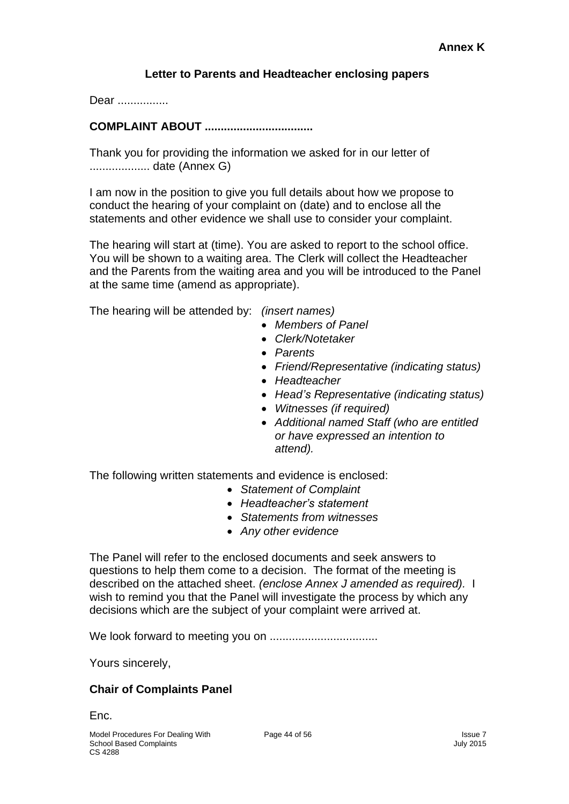#### **Letter to Parents and Headteacher enclosing papers**

Dear ................

#### **COMPLAINT ABOUT ..................................**

Thank you for providing the information we asked for in our letter of ................... date (Annex G)

I am now in the position to give you full details about how we propose to conduct the hearing of your complaint on (date) and to enclose all the statements and other evidence we shall use to consider your complaint.

The hearing will start at (time). You are asked to report to the school office. You will be shown to a waiting area. The Clerk will collect the Headteacher and the Parents from the waiting area and you will be introduced to the Panel at the same time (amend as appropriate).

The hearing will be attended by: *(insert names)*

- *Members of Panel*
- *Clerk/Notetaker*
- *Parents*
- *Friend/Representative (indicating status)*
- *Headteacher*
- *Head's Representative (indicating status)*
- *Witnesses (if required)*
- *Additional named Staff (who are entitled or have expressed an intention to attend).*

The following written statements and evidence is enclosed:

- *Statement of Complaint*
- *Headteacher's statement*
- *Statements from witnesses*
- *Any other evidence*

The Panel will refer to the enclosed documents and seek answers to questions to help them come to a decision. The format of the meeting is described on the attached sheet. *(enclose Annex J amended as required).* I wish to remind you that the Panel will investigate the process by which any decisions which are the subject of your complaint were arrived at.

We look forward to meeting you on ..................................

Yours sincerely,

#### **Chair of Complaints Panel**

Enc.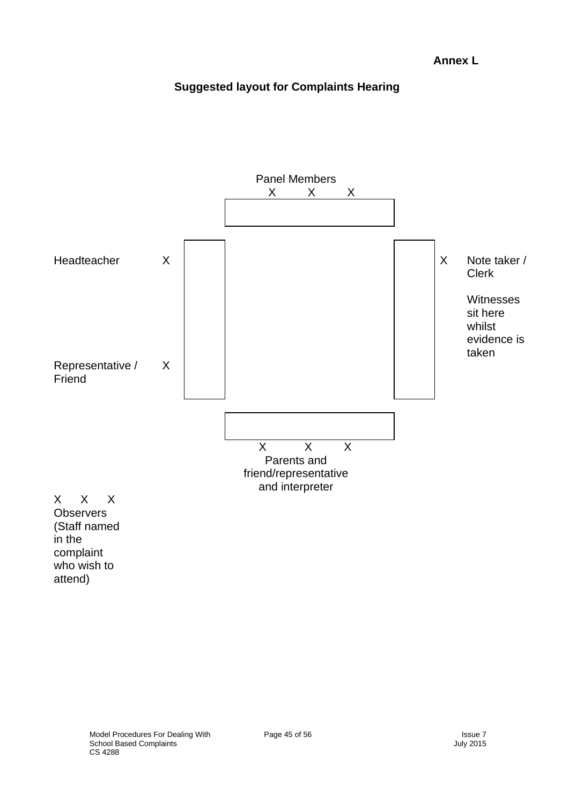#### **Suggested layout for Complaints Hearing**

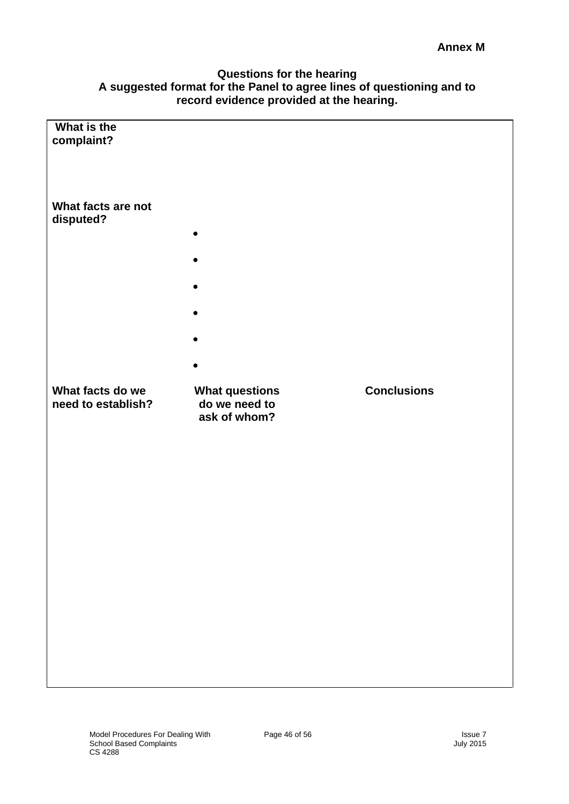#### **Annex M**

#### **Questions for the hearing A suggested format for the Panel to agree lines of questioning and to record evidence provided at the hearing.**

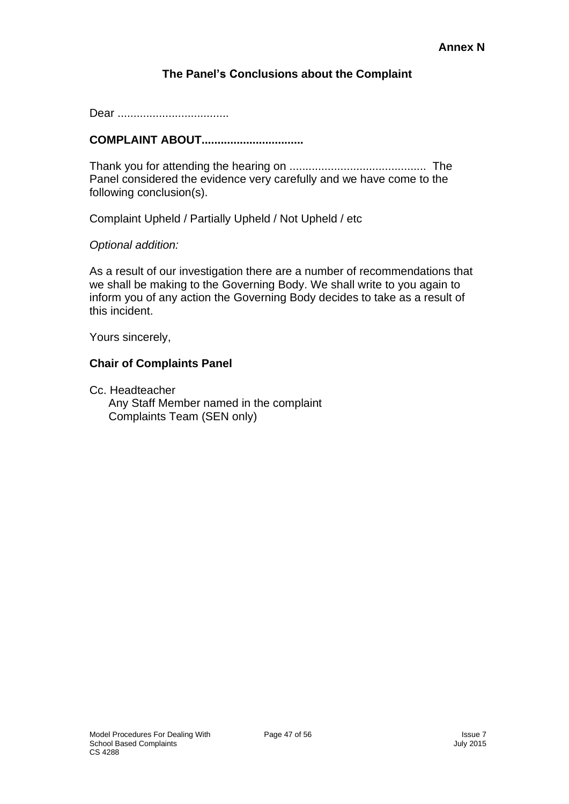#### **The Panel's Conclusions about the Complaint**

Dear ...................................

#### **COMPLAINT ABOUT................................**

Thank you for attending the hearing on ........................................... The Panel considered the evidence very carefully and we have come to the following conclusion(s).

Complaint Upheld / Partially Upheld / Not Upheld / etc

*Optional addition:*

As a result of our investigation there are a number of recommendations that we shall be making to the Governing Body. We shall write to you again to inform you of any action the Governing Body decides to take as a result of this incident.

Yours sincerely,

#### **Chair of Complaints Panel**

Cc. Headteacher Any Staff Member named in the complaint Complaints Team (SEN only)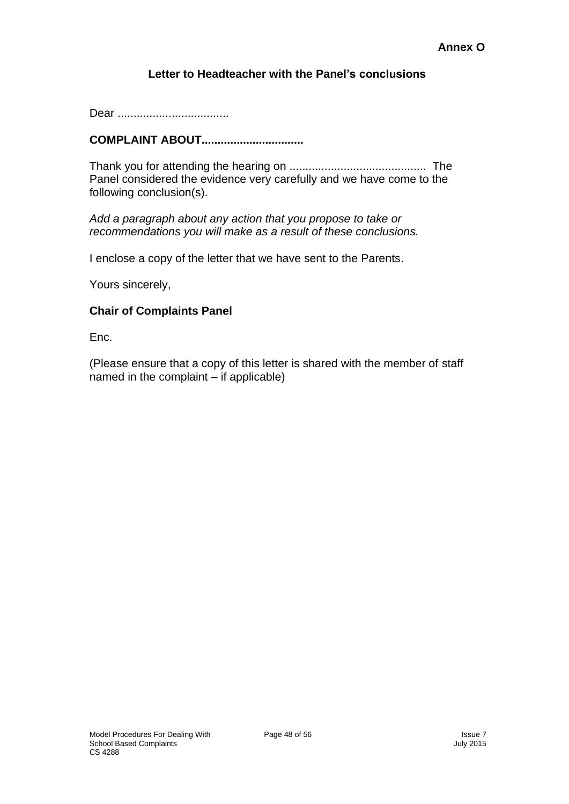#### **Letter to Headteacher with the Panel's conclusions**

Dear ...................................

#### **COMPLAINT ABOUT................................**

Thank you for attending the hearing on ........................................... The Panel considered the evidence very carefully and we have come to the following conclusion(s).

*Add a paragraph about any action that you propose to take or recommendations you will make as a result of these conclusions.*

I enclose a copy of the letter that we have sent to the Parents.

Yours sincerely,

#### **Chair of Complaints Panel**

Enc.

(Please ensure that a copy of this letter is shared with the member of staff named in the complaint – if applicable)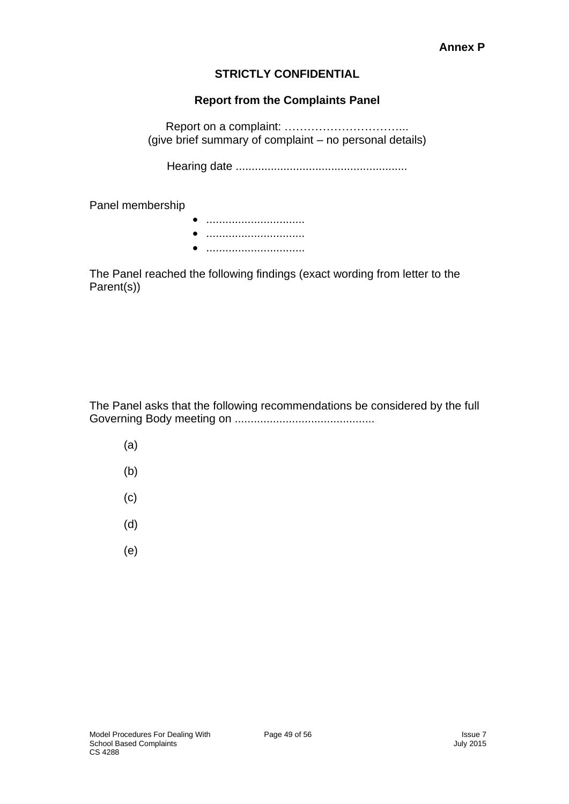#### **Annex P**

#### **STRICTLY CONFIDENTIAL**

#### **Report from the Complaints Panel**

Report on a complaint: …………………………... (give brief summary of complaint – no personal details)

Hearing date ......................................................

Panel membership

• ............................... • ............................... • ...............................

The Panel reached the following findings (exact wording from letter to the Parent(s))

The Panel asks that the following recommendations be considered by the full Governing Body meeting on ............................................

- (a)
- (b)
- (c)
- (d)
- (e)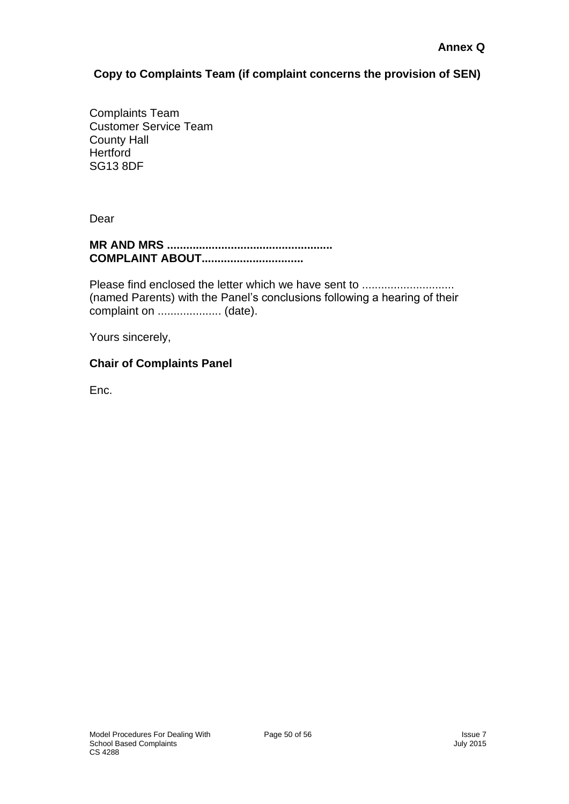#### **Copy to Complaints Team (if complaint concerns the provision of SEN)**

Complaints Team Customer Service Team County Hall **Hertford** SG13 8DF

Dear

#### **MR AND MRS .................................................... COMPLAINT ABOUT................................**

Please find enclosed the letter which we have sent to ........................... (named Parents) with the Panel's conclusions following a hearing of their complaint on .................... (date).

Yours sincerely,

#### **Chair of Complaints Panel**

Enc.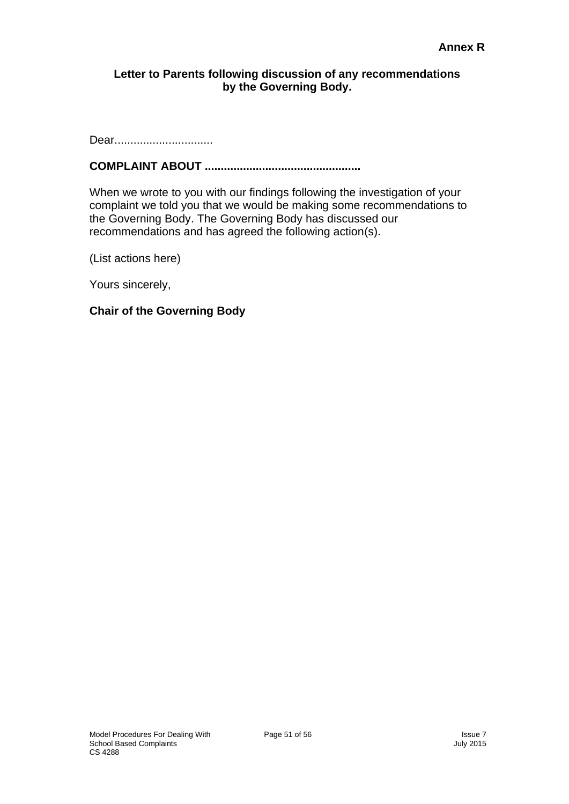#### **Letter to Parents following discussion of any recommendations by the Governing Body.**

Dear................................

#### **COMPLAINT ABOUT .................................................**

When we wrote to you with our findings following the investigation of your complaint we told you that we would be making some recommendations to the Governing Body. The Governing Body has discussed our recommendations and has agreed the following action(s).

(List actions here)

Yours sincerely,

#### **Chair of the Governing Body**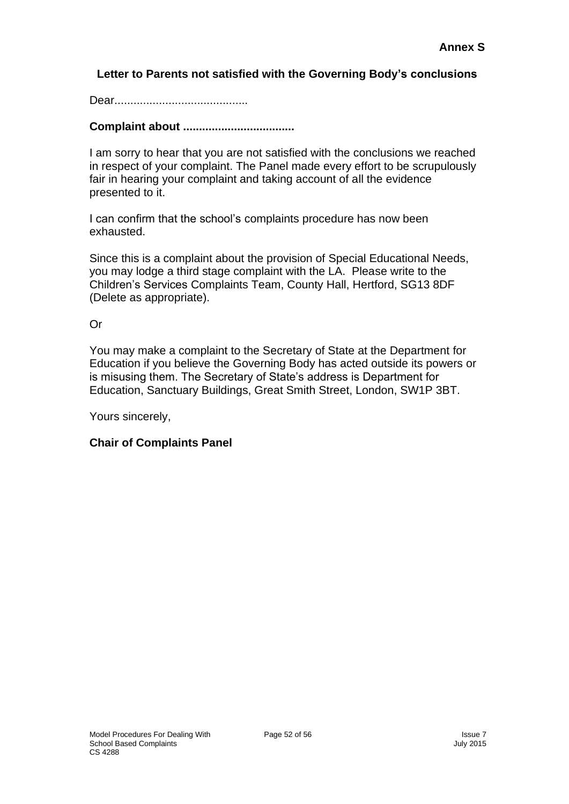#### **Letter to Parents not satisfied with the Governing Body's conclusions**

Dear..........................................

#### **Complaint about ...................................**

I am sorry to hear that you are not satisfied with the conclusions we reached in respect of your complaint. The Panel made every effort to be scrupulously fair in hearing your complaint and taking account of all the evidence presented to it.

I can confirm that the school's complaints procedure has now been exhausted.

Since this is a complaint about the provision of Special Educational Needs, you may lodge a third stage complaint with the LA. Please write to the Children's Services Complaints Team, County Hall, Hertford, SG13 8DF (Delete as appropriate).

Or

You may make a complaint to the Secretary of State at the Department for Education if you believe the Governing Body has acted outside its powers or is misusing them. The Secretary of State's address is Department for Education, Sanctuary Buildings, Great Smith Street, London, SW1P 3BT.

Yours sincerely,

#### **Chair of Complaints Panel**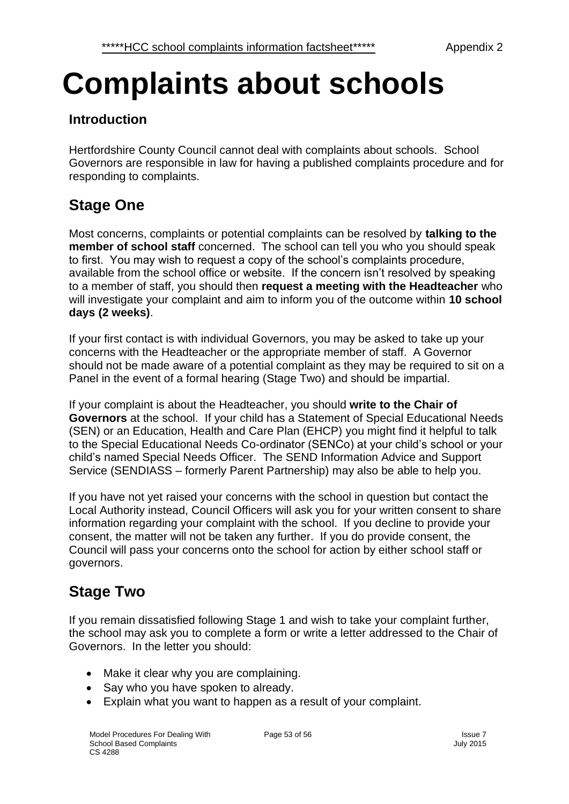# **Complaints about schools**

## **Introduction**

Hertfordshire County Council cannot deal with complaints about schools. School Governors are responsible in law for having a published complaints procedure and for responding to complaints.

# **Stage One**

Most concerns, complaints or potential complaints can be resolved by **talking to the member of school staff** concerned. The school can tell you who you should speak to first. You may wish to request a copy of the school's complaints procedure, available from the school office or website. If the concern isn't resolved by speaking to a member of staff, you should then **request a meeting with the Headteacher** who will investigate your complaint and aim to inform you of the outcome within **10 school days (2 weeks)**.

If your first contact is with individual Governors, you may be asked to take up your concerns with the Headteacher or the appropriate member of staff. A Governor should not be made aware of a potential complaint as they may be required to sit on a Panel in the event of a formal hearing (Stage Two) and should be impartial.

If your complaint is about the Headteacher, you should **write to the Chair of Governors** at the school. If your child has a Statement of Special Educational Needs (SEN) or an Education, Health and Care Plan (EHCP) you might find it helpful to talk to the Special Educational Needs Co-ordinator (SENCo) at your child's school or your child's named Special Needs Officer. The SEND Information Advice and Support Service (SENDIASS – formerly Parent Partnership) may also be able to help you.

If you have not yet raised your concerns with the school in question but contact the Local Authority instead, Council Officers will ask you for your written consent to share information regarding your complaint with the school. If you decline to provide your consent, the matter will not be taken any further. If you do provide consent, the Council will pass your concerns onto the school for action by either school staff or governors.

# **Stage Two**

If you remain dissatisfied following Stage 1 and wish to take your complaint further, the school may ask you to complete a form or write a letter addressed to the Chair of Governors. In the letter you should:

- Make it clear why you are complaining.
- Say who you have spoken to already.
- Explain what you want to happen as a result of your complaint.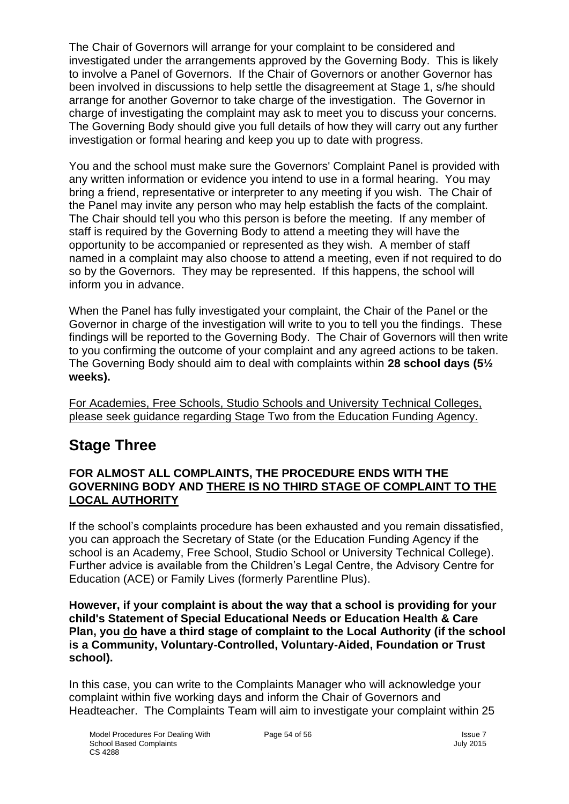The Chair of Governors will arrange for your complaint to be considered and investigated under the arrangements approved by the Governing Body. This is likely to involve a Panel of Governors. If the Chair of Governors or another Governor has been involved in discussions to help settle the disagreement at Stage 1, s/he should arrange for another Governor to take charge of the investigation. The Governor in charge of investigating the complaint may ask to meet you to discuss your concerns. The Governing Body should give you full details of how they will carry out any further investigation or formal hearing and keep you up to date with progress.

You and the school must make sure the Governors' Complaint Panel is provided with any written information or evidence you intend to use in a formal hearing. You may bring a friend, representative or interpreter to any meeting if you wish. The Chair of the Panel may invite any person who may help establish the facts of the complaint. The Chair should tell you who this person is before the meeting. If any member of staff is required by the Governing Body to attend a meeting they will have the opportunity to be accompanied or represented as they wish. A member of staff named in a complaint may also choose to attend a meeting, even if not required to do so by the Governors. They may be represented. If this happens, the school will inform you in advance.

When the Panel has fully investigated your complaint, the Chair of the Panel or the Governor in charge of the investigation will write to you to tell you the findings. These findings will be reported to the Governing Body. The Chair of Governors will then write to you confirming the outcome of your complaint and any agreed actions to be taken. The Governing Body should aim to deal with complaints within **28 school days (5½ weeks).**

For Academies, Free Schools, Studio Schools and University Technical Colleges, please seek guidance regarding Stage Two from the Education Funding Agency.

# **Stage Three**

#### **FOR ALMOST ALL COMPLAINTS, THE PROCEDURE ENDS WITH THE GOVERNING BODY AND THERE IS NO THIRD STAGE OF COMPLAINT TO THE LOCAL AUTHORITY**

If the school's complaints procedure has been exhausted and you remain dissatisfied, you can approach the Secretary of State (or the Education Funding Agency if the school is an Academy, Free School, Studio School or University Technical College). Further advice is available from the Children's Legal Centre, the Advisory Centre for Education (ACE) or Family Lives (formerly Parentline Plus).

**However, if your complaint is about the way that a school is providing for your child's Statement of Special Educational Needs or Education Health & Care Plan, you do have a third stage of complaint to the Local Authority (if the school is a Community, Voluntary-Controlled, Voluntary-Aided, Foundation or Trust school).**

In this case, you can write to the Complaints Manager who will acknowledge your complaint within five working days and inform the Chair of Governors and Headteacher. The Complaints Team will aim to investigate your complaint within 25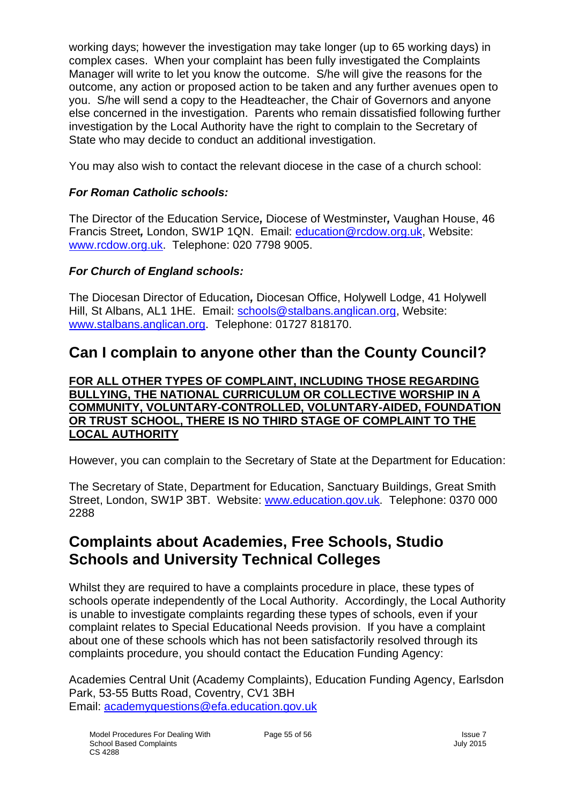working days; however the investigation may take longer (up to 65 working days) in complex cases. When your complaint has been fully investigated the Complaints Manager will write to let you know the outcome. S/he will give the reasons for the outcome, any action or proposed action to be taken and any further avenues open to you. S/he will send a copy to the Headteacher, the Chair of Governors and anyone else concerned in the investigation. Parents who remain dissatisfied following further investigation by the Local Authority have the right to complain to the Secretary of State who may decide to conduct an additional investigation.

You may also wish to contact the relevant diocese in the case of a church school:

#### *For Roman Catholic schools:*

The Director of the Education Service*,* Diocese of Westminster*,* Vaughan House, 46 Francis Street*,* London, SW1P 1QN. Email: [education@rcdow.org.uk,](mailto:education@rcdow.org.uk) Website: [www.rcdow.org.uk.](http://www.rcdow.org.uk/) Telephone: 020 7798 9005.

#### *For Church of England schools:*

The Diocesan Director of Education*,* Diocesan Office, Holywell Lodge, 41 Holywell Hill, St Albans, AL1 1HE. Email: [schools@stalbans.anglican.org,](mailto:schools@stalbans.anglican.org) Website: [www.stalbans.anglican.org.](http://www.stalbans.anglican.org/) Telephone: 01727 818170.

# **Can I complain to anyone other than the County Council?**

**FOR ALL OTHER TYPES OF COMPLAINT, INCLUDING THOSE REGARDING BULLYING, THE NATIONAL CURRICULUM OR COLLECTIVE WORSHIP IN A COMMUNITY, VOLUNTARY-CONTROLLED, VOLUNTARY-AIDED, FOUNDATION OR TRUST SCHOOL, THERE IS NO THIRD STAGE OF COMPLAINT TO THE LOCAL AUTHORITY** 

However, you can complain to the Secretary of State at the Department for Education:

The Secretary of State, Department for Education, Sanctuary Buildings, Great Smith Street, London, SW1P 3BT. Website: [www.education.gov.uk.](http://www.education.gov.uk/) Telephone: 0370 000 2288

# **Complaints about Academies, Free Schools, Studio Schools and University Technical Colleges**

Whilst they are required to have a complaints procedure in place, these types of schools operate independently of the Local Authority. Accordingly, the Local Authority is unable to investigate complaints regarding these types of schools, even if your complaint relates to Special Educational Needs provision. If you have a complaint about one of these schools which has not been satisfactorily resolved through its complaints procedure, you should contact the Education Funding Agency:

Academies Central Unit (Academy Complaints), Education Funding Agency, Earlsdon Park, 53-55 Butts Road, Coventry, CV1 3BH Email: [academyquestions@efa.education.gov.uk](mailto:academyquestions@efa.education.gov.uk)